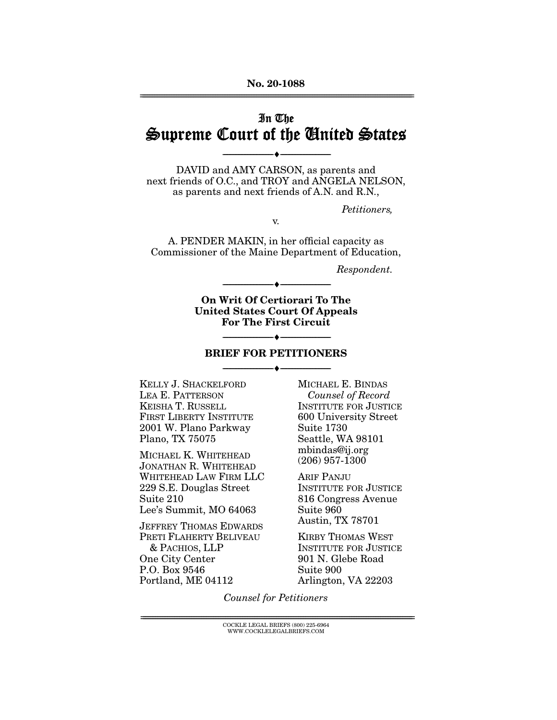#### **No. 20-1088**  ================================================================================================================

# In The Supreme Court of the United States

--------------------------------- ♦ ---------------------------------

DAVID and AMY CARSON, as parents and next friends of O.C., and TROY and ANGELA NELSON, as parents and next friends of A.N. and R.N.,

Petitioners,

v.

A. PENDER MAKIN, in her official capacity as Commissioner of the Maine Department of Education,

Respondent.

**On Writ Of Certiorari To The United States Court Of Appeals For The First Circuit** 

--------------------------------- ♦ ---------------------------------

# $\bullet$  -**BRIEF FOR PETITIONERS**  --------------------------------- ♦ ---------------------------------

KELLY J. SHACKELFORD LEA E. PATTERSON KEISHA T. RUSSELL FIRST LIBERTY INSTITUTE 2001 W. Plano Parkway Plano, TX 75075

MICHAEL K. WHITEHEAD JONATHAN R. WHITEHEAD WHITEHEAD LAW FIRM LLC 229 S.E. Douglas Street Suite 210 Lee's Summit, MO 64063

JEFFREY THOMAS EDWARDS PRETI FLAHERTY BELIVEAU & PACHIOS, LLP One City Center P.O. Box 9546 Portland, ME 04112

MICHAEL E. BINDAS Counsel of Record INSTITUTE FOR JUSTICE 600 University Street Suite 1730 Seattle, WA 98101 mbindas@ij.org (206) 957-1300

ARIF PANJU INSTITUTE FOR JUSTICE 816 Congress Avenue Suite 960 Austin, TX 78701

KIRBY THOMAS WEST INSTITUTE FOR JUSTICE 901 N. Glebe Road Suite 900 Arlington, VA 22203

Counsel for Petitioners

 $\text{COCKLE LEGAL BRIEFS}$  (800) 225-6964 WWW.COCKLELEGALBRIEFS.COM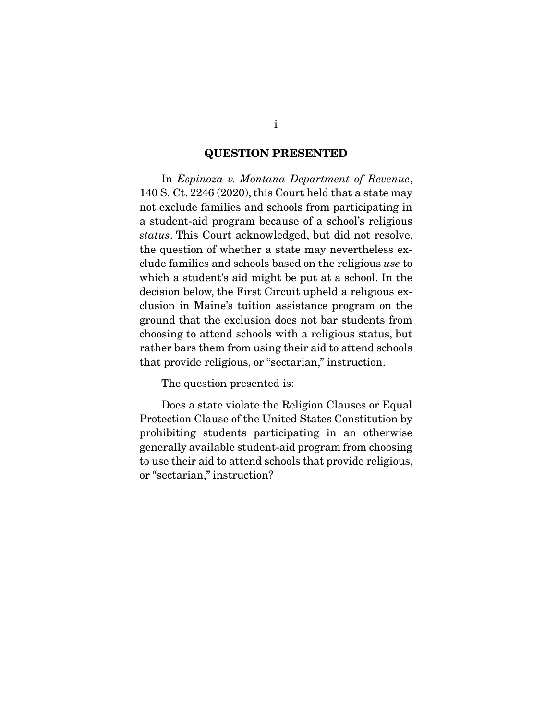#### **QUESTION PRESENTED**

 In Espinoza v. Montana Department of Revenue, 140 S. Ct. 2246 (2020), this Court held that a state may not exclude families and schools from participating in a student-aid program because of a school's religious status. This Court acknowledged, but did not resolve, the question of whether a state may nevertheless exclude families and schools based on the religious use to which a student's aid might be put at a school. In the decision below, the First Circuit upheld a religious exclusion in Maine's tuition assistance program on the ground that the exclusion does not bar students from choosing to attend schools with a religious status, but rather bars them from using their aid to attend schools that provide religious, or "sectarian," instruction.

The question presented is:

 Does a state violate the Religion Clauses or Equal Protection Clause of the United States Constitution by prohibiting students participating in an otherwise generally available student-aid program from choosing to use their aid to attend schools that provide religious, or "sectarian," instruction?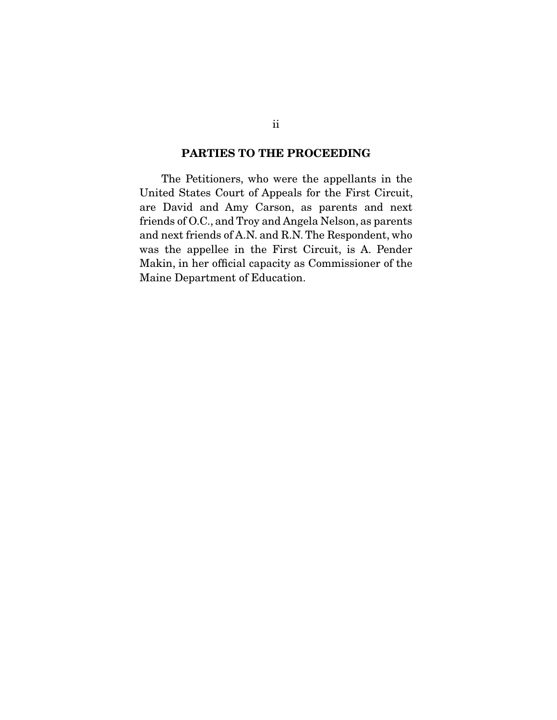### **PARTIES TO THE PROCEEDING**

 The Petitioners, who were the appellants in the United States Court of Appeals for the First Circuit, are David and Amy Carson, as parents and next friends of O.C., and Troy and Angela Nelson, as parents and next friends of A.N. and R.N. The Respondent, who was the appellee in the First Circuit, is A. Pender Makin, in her official capacity as Commissioner of the Maine Department of Education.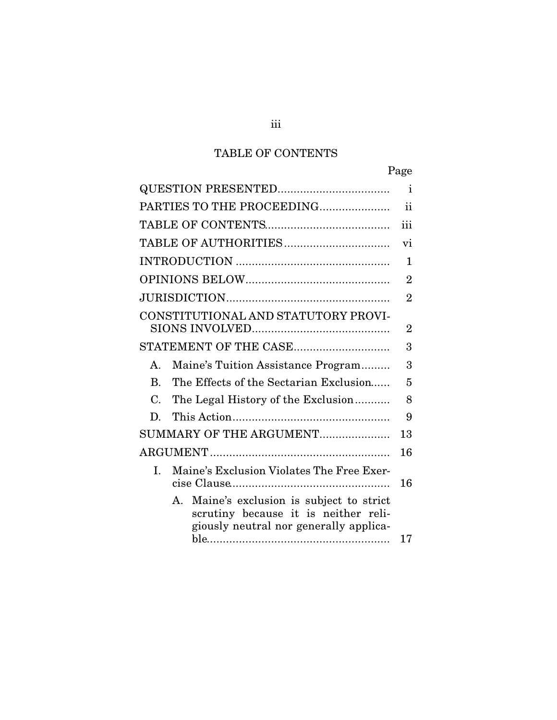# TABLE OF CONTENTS

|                |                                                                                                                                | Page           |
|----------------|--------------------------------------------------------------------------------------------------------------------------------|----------------|
|                |                                                                                                                                | $\mathbf{i}$   |
|                | PARTIES TO THE PROCEEDING                                                                                                      | ii             |
|                |                                                                                                                                | iii            |
|                |                                                                                                                                | vi             |
|                |                                                                                                                                |                |
|                |                                                                                                                                | $\overline{2}$ |
|                |                                                                                                                                | $\overline{2}$ |
|                | CONSTITUTIONAL AND STATUTORY PROVI-                                                                                            | $\overline{2}$ |
|                |                                                                                                                                | 3              |
| $\mathsf{A}$   | Maine's Tuition Assistance Program                                                                                             | 3              |
| $\mathbf{B}$ . | The Effects of the Sectarian Exclusion                                                                                         | 5              |
| C.             | The Legal History of the Exclusion                                                                                             | 8              |
| D.             |                                                                                                                                | 9              |
|                | SUMMARY OF THE ARGUMENT                                                                                                        | 13             |
|                |                                                                                                                                | 16             |
| L              | Maine's Exclusion Violates The Free Exer-                                                                                      | 16             |
|                | Maine's exclusion is subject to strict<br>А.<br>scrutiny because it is neither reli-<br>giously neutral nor generally applica- | 17             |
|                |                                                                                                                                |                |

iii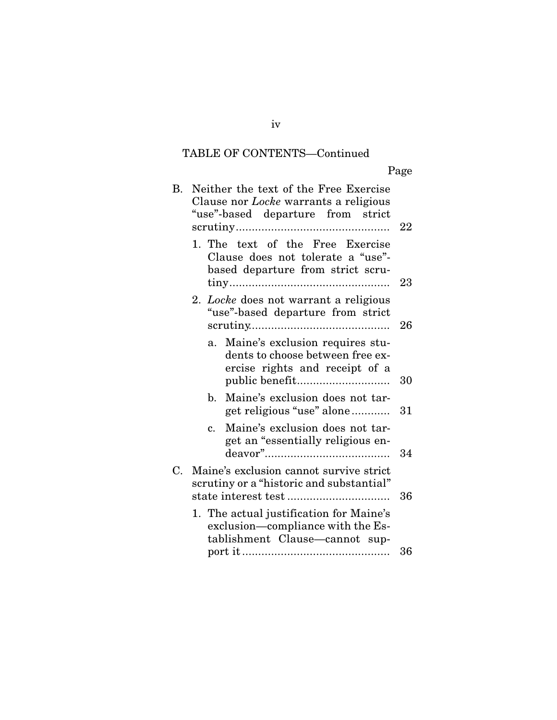# TABLE OF CONTENTS—Continued

Page

| В. | Neither the text of the Free Exercise<br>Clause nor Locke warrants a religious<br>"use"-based departure from strict | 22 |
|----|---------------------------------------------------------------------------------------------------------------------|----|
|    | 1. The text of the Free Exercise<br>Clause does not tolerate a "use"-<br>based departure from strict scru-          | 23 |
|    | 2. Locke does not warrant a religious<br>"use"-based departure from strict                                          | 26 |
|    | Maine's exclusion requires stu-<br>a.<br>dents to choose between free ex-<br>ercise rights and receipt of a         | 30 |
|    | Maine's exclusion does not tar-<br>$\mathbf{b}$ .<br>get religious "use" alone                                      | 31 |
|    | Maine's exclusion does not tar-<br>$\mathbf{c}$ .<br>get an "essentially religious en-                              | 34 |
| C. | Maine's exclusion cannot survive strict<br>scrutiny or a "historic and substantial"                                 | 36 |
|    | 1. The actual justification for Maine's<br>exclusion—compliance with the Es-<br>tablishment Clause-cannot sup-      |    |
|    |                                                                                                                     | 36 |

iv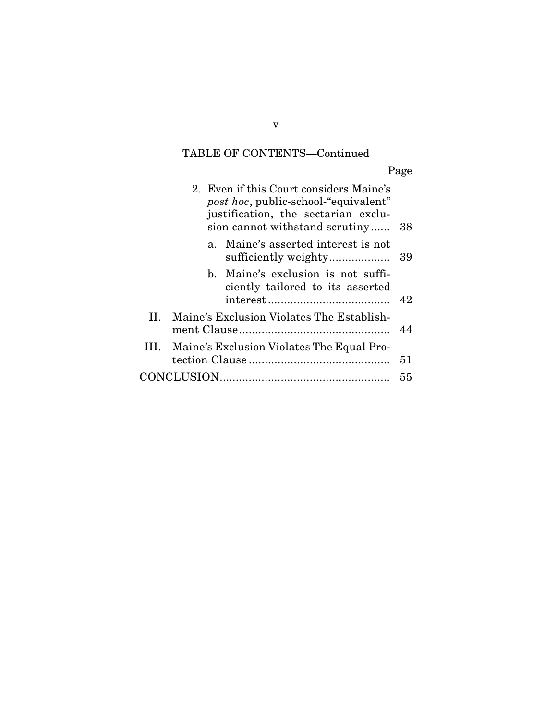# TABLE OF CONTENTS—Continued

Page

|              | 2. Even if this Court considers Maine's<br><i>post hoc</i> , public-school-"equivalent"<br>justification, the sectarian exclu-<br>sion cannot withstand scrutiny | 38 |
|--------------|------------------------------------------------------------------------------------------------------------------------------------------------------------------|----|
|              | a. Maine's asserted interest is not                                                                                                                              | 39 |
|              | b. Maine's exclusion is not suffi-<br>ciently tailored to its asserted                                                                                           | 42 |
| H.           | Maine's Exclusion Violates The Establish-                                                                                                                        | 44 |
| $\mathbf{H}$ | Maine's Exclusion Violates The Equal Pro-                                                                                                                        | 51 |
|              |                                                                                                                                                                  | 55 |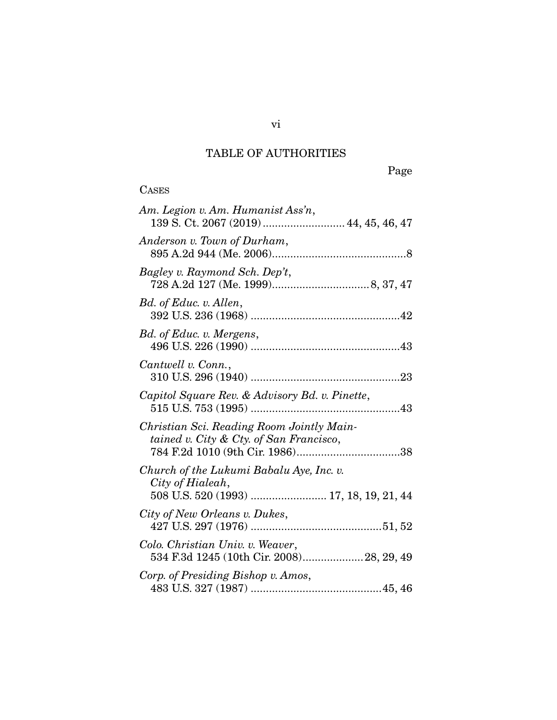# TABLE OF AUTHORITIES

Page

## **CASES**

| Am. Legion v. Am. Humanist Ass'n,<br>139 S. Ct. 2067 (2019)  44, 45, 46, 47                             |
|---------------------------------------------------------------------------------------------------------|
| Anderson v. Town of Durham,                                                                             |
| Bagley v. Raymond Sch. Dep't,                                                                           |
| Bd. of Educ. v. Allen,                                                                                  |
| Bd. of Educ. v. Mergens,                                                                                |
| Cantwell v. Conn.,                                                                                      |
| Capitol Square Rev. & Advisory Bd. v. Pinette,                                                          |
| Christian Sci. Reading Room Jointly Main-<br>tained v. City & Cty. of San Francisco,                    |
| Church of the Lukumi Babalu Aye, Inc. v.<br>City of Hialeah,<br>508 U.S. 520 (1993)  17, 18, 19, 21, 44 |
| City of New Orleans v. Dukes,                                                                           |
| Colo. Christian Univ. v. Weaver,<br>534 F.3d 1245 (10th Cir. 2008) 28, 29, 49                           |
| Corp. of Presiding Bishop v. Amos,                                                                      |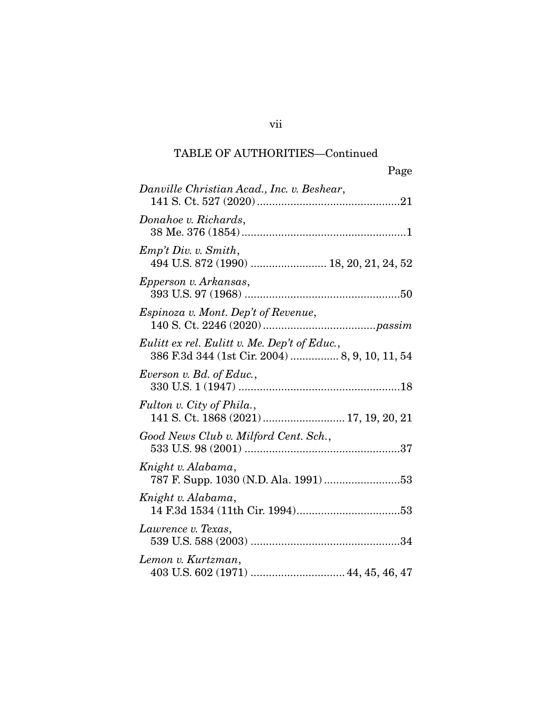| Page                                                                                           |
|------------------------------------------------------------------------------------------------|
| Danville Christian Acad., Inc. v. Beshear,                                                     |
| Donahoe v. Richards,                                                                           |
| $Emp't Div.$ v. $Smith,$<br>494 U.S. 872 (1990)  18, 20, 21, 24, 52                            |
| Epperson v. Arkansas,                                                                          |
| Espinoza v. Mont. Dep't of Revenue,                                                            |
| Eulitt ex rel. Eulitt v. Me. Dep't of Educ.,<br>386 F.3d 344 (1st Cir. 2004)  8, 9, 10, 11, 54 |
| Everson v. Bd. of Educ.,                                                                       |
| Fulton v. City of Phila.,<br>141 S. Ct. 1868 (2021)  17, 19, 20, 21                            |
| Good News Club v. Milford Cent. Sch.,                                                          |
| Knight v. Alabama,<br>787 F. Supp. 1030 (N.D. Ala. 1991) 53                                    |
| Knight v. Alabama,                                                                             |
| Lawrence v. Texas,                                                                             |
| Lemon v. Kurtzman,                                                                             |

## vii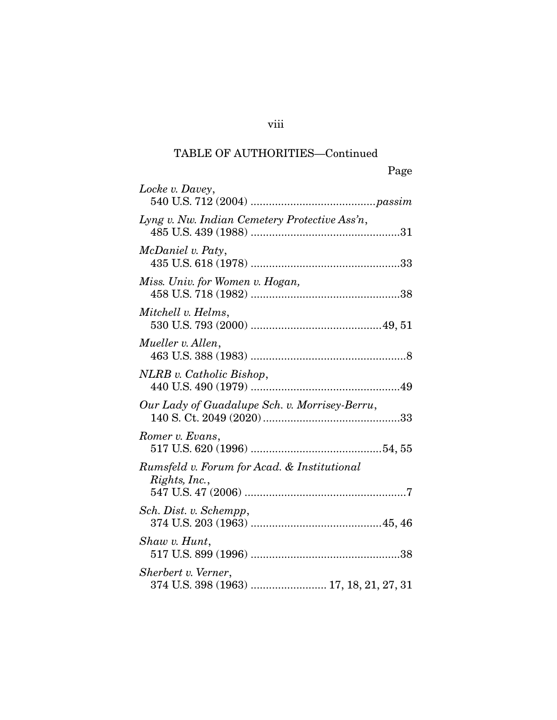| Page                                                           |
|----------------------------------------------------------------|
| Locke v. Davey,                                                |
| Lyng v. Nw. Indian Cemetery Protective Ass'n,                  |
| McDaniel v. Paty,                                              |
| Miss. Univ. for Women v. Hogan,                                |
| Mitchell v. Helms,                                             |
| Mueller v. Allen,                                              |
| NLRB v. Catholic Bishop,                                       |
| Our Lady of Guadalupe Sch. v. Morrisey-Berru,                  |
| Romer v. Evans,                                                |
| Rumsfeld v. Forum for Acad. & Institutional<br>Rights, Inc.,   |
| Sch. Dist. v. Schempp,                                         |
| Shaw v. Hunt,                                                  |
| Sherbert v. Verner,<br>374 U.S. 398 (1963)  17, 18, 21, 27, 31 |

viii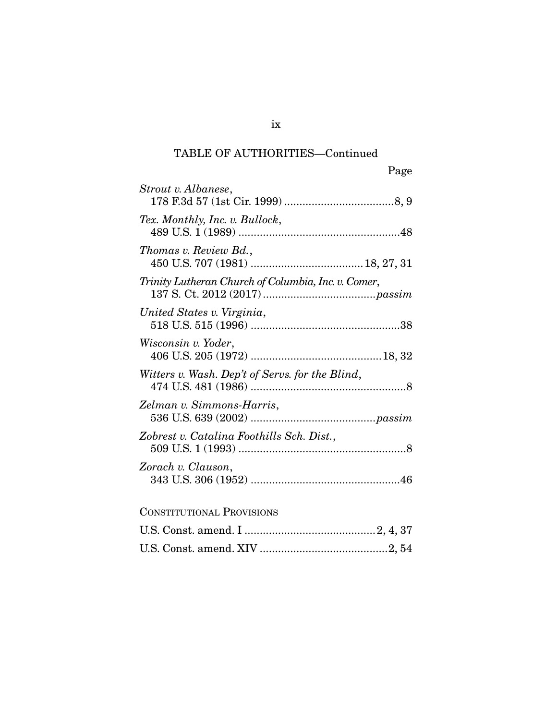| Page                                                |
|-----------------------------------------------------|
| Strout v. Albanese,                                 |
| Tex. Monthly, Inc. v. Bullock,                      |
| Thomas v. Review Bd.,                               |
| Trinity Lutheran Church of Columbia, Inc. v. Comer, |
| United States v. Virginia,                          |
| Wisconsin v. Yoder,                                 |
| Witters v. Wash. Dep't of Servs. for the Blind,     |
| Zelman v. Simmons-Harris,                           |
| Zobrest v. Catalina Foothills Sch. Dist.,           |
| Zorach v. Clauson,                                  |
| <b>CONSTITUTIONAL PROVISIONS</b>                    |

ix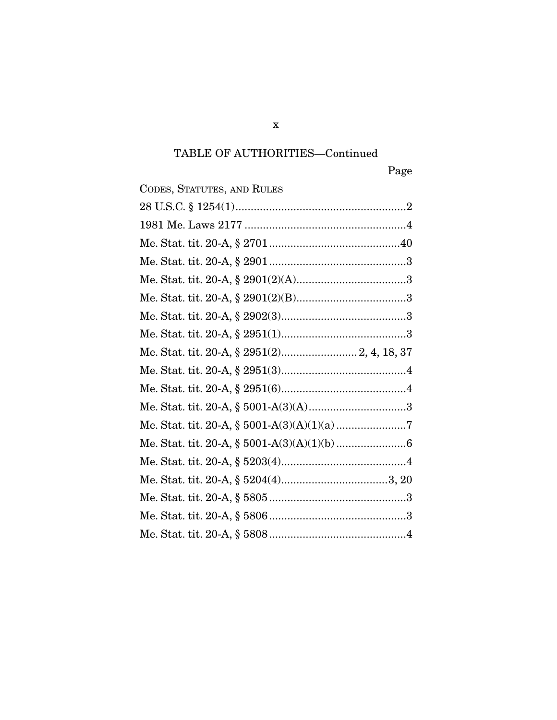| CODES, STATUTES, AND RULES |
|----------------------------|
|                            |
|                            |
|                            |
|                            |
|                            |
|                            |
|                            |
|                            |
|                            |
|                            |
|                            |
|                            |
|                            |
|                            |
|                            |
|                            |
|                            |
|                            |
|                            |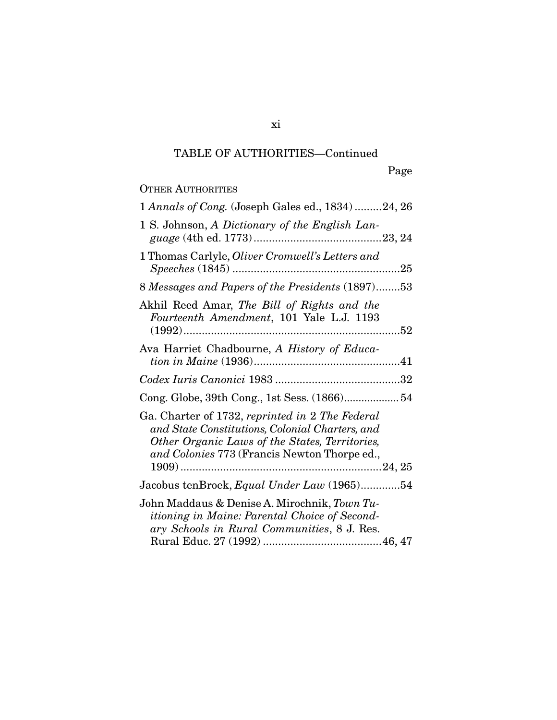# OTHER AUTHORITIES

| 1 Annals of Cong. (Joseph Gales ed., 1834)24, 26                                                                                                                                                     |
|------------------------------------------------------------------------------------------------------------------------------------------------------------------------------------------------------|
| 1 S. Johnson, A Dictionary of the English Lan-                                                                                                                                                       |
| 1 Thomas Carlyle, Oliver Cromwell's Letters and                                                                                                                                                      |
| 8 Messages and Papers of the Presidents (1897)53                                                                                                                                                     |
| Akhil Reed Amar, The Bill of Rights and the<br>Fourteenth Amendment, 101 Yale L.J. 1193                                                                                                              |
| Ava Harriet Chadbourne, A History of Educa-                                                                                                                                                          |
|                                                                                                                                                                                                      |
|                                                                                                                                                                                                      |
| Ga. Charter of 1732, reprinted in 2 The Federal<br>and State Constitutions, Colonial Charters, and<br>Other Organic Laws of the States, Territories,<br>and Colonies 773 (Francis Newton Thorpe ed., |
| Jacobus tenBroek, <i>Equal Under Law</i> (1965)54                                                                                                                                                    |
| John Maddaus & Denise A. Mirochnik, Town Tu-<br>itioning in Maine: Parental Choice of Second-<br>ary Schools in Rural Communities, 8 J. Res.                                                         |

xi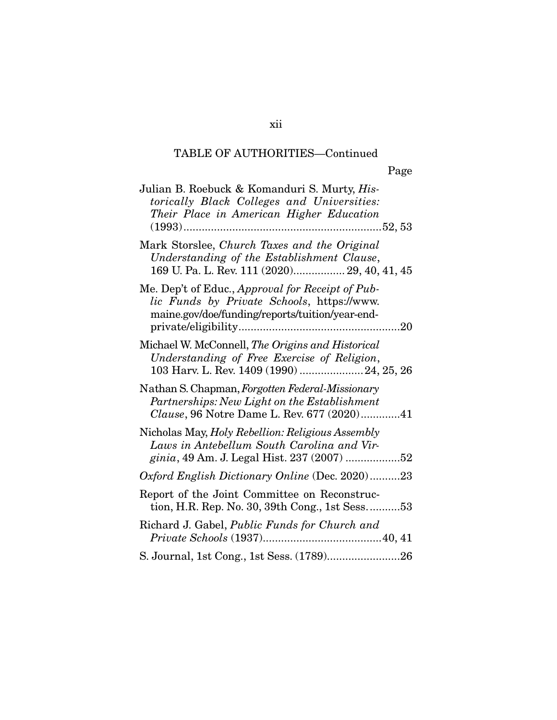|--|

| Julian B. Roebuck & Komanduri S. Murty, His-<br>torically Black Colleges and Universities:<br>Their Place in American Higher Education            |
|---------------------------------------------------------------------------------------------------------------------------------------------------|
| Mark Storslee, Church Taxes and the Original<br>Understanding of the Establishment Clause,<br>169 U. Pa. L. Rev. 111 (2020) 29, 40, 41, 45        |
| Me. Dep't of Educ., Approval for Receipt of Pub-<br>lic Funds by Private Schools, https://www.<br>maine.gov/doe/funding/reports/tuition/year-end- |
| Michael W. McConnell, The Origins and Historical<br>Understanding of Free Exercise of Religion,<br>103 Harv. L. Rev. 1409 (1990)  24, 25, 26      |
| Nathan S. Chapman, Forgotten Federal-Missionary<br>Partnerships: New Light on the Establishment<br>Clause, 96 Notre Dame L. Rev. 677 (2020)41     |
| Nicholas May, Holy Rebellion: Religious Assembly<br>Laws in Antebellum South Carolina and Vir-<br>ginia, 49 Am. J. Legal Hist. 237 (2007) 52      |
| Oxford English Dictionary Online (Dec. 2020)23                                                                                                    |
| Report of the Joint Committee on Reconstruc-<br>tion, H.R. Rep. No. 30, 39th Cong., 1st Sess53                                                    |
| Richard J. Gabel, Public Funds for Church and                                                                                                     |
| S. Journal, 1st Cong., 1st Sess. (1789)26                                                                                                         |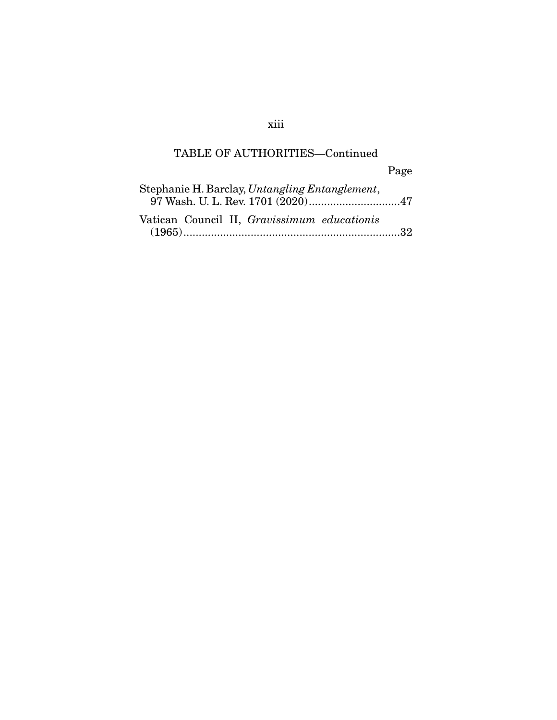|                                                | Page |
|------------------------------------------------|------|
| Stephanie H. Barclay, Untangling Entanglement, |      |
|                                                |      |
| Vatican Council II, Gravissimum educationis    |      |
|                                                |      |

# xiii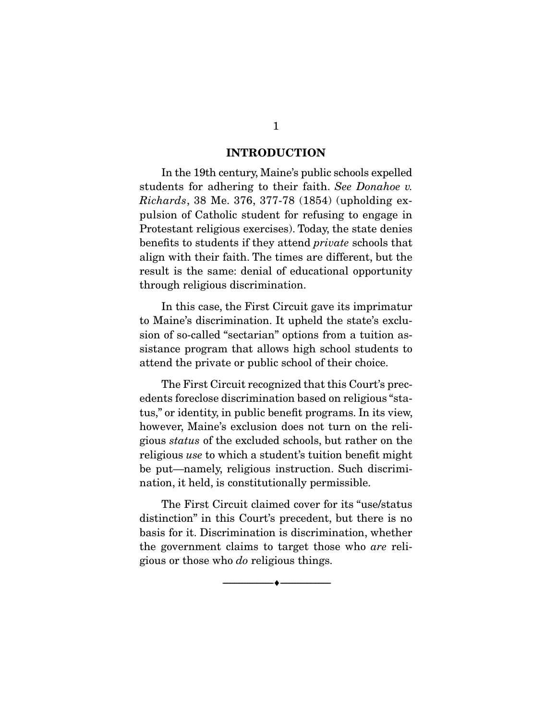#### **INTRODUCTION**

 In the 19th century, Maine's public schools expelled students for adhering to their faith. See Donahoe v. Richards, 38 Me. 376, 377-78 (1854) (upholding expulsion of Catholic student for refusing to engage in Protestant religious exercises). Today, the state denies benefits to students if they attend private schools that align with their faith. The times are different, but the result is the same: denial of educational opportunity through religious discrimination.

 In this case, the First Circuit gave its imprimatur to Maine's discrimination. It upheld the state's exclusion of so-called "sectarian" options from a tuition assistance program that allows high school students to attend the private or public school of their choice.

 The First Circuit recognized that this Court's precedents foreclose discrimination based on religious "status," or identity, in public benefit programs. In its view, however, Maine's exclusion does not turn on the religious status of the excluded schools, but rather on the religious use to which a student's tuition benefit might be put—namely, religious instruction. Such discrimination, it held, is constitutionally permissible.

 The First Circuit claimed cover for its "use/status distinction" in this Court's precedent, but there is no basis for it. Discrimination is discrimination, whether the government claims to target those who are religious or those who do religious things.

--------------------------------- ♦ ---------------------------------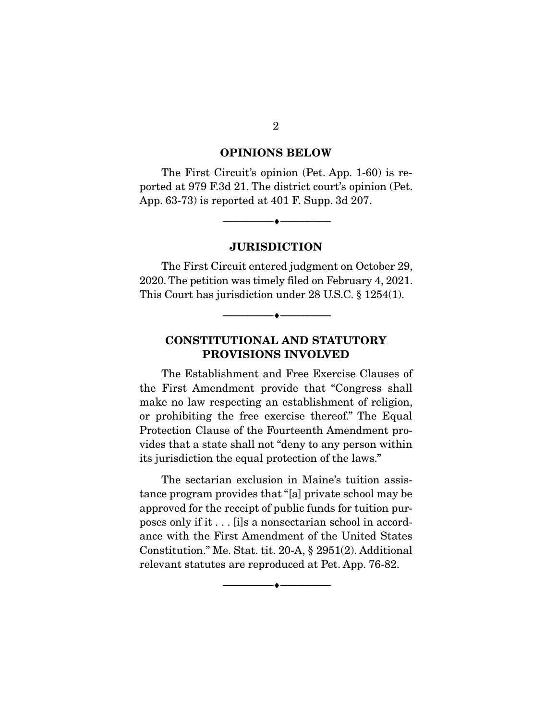#### **OPINIONS BELOW**

 The First Circuit's opinion (Pet. App. 1-60) is reported at 979 F.3d 21. The district court's opinion (Pet. App. 63-73) is reported at 401 F. Supp. 3d 207.

**JURISDICTION** 

 $\bullet$   $-$ 

 The First Circuit entered judgment on October 29, 2020. The petition was timely filed on February 4, 2021. This Court has jurisdiction under 28 U.S.C. § 1254(1).

--------------------------------- ♦ ---------------------------------

## **CONSTITUTIONAL AND STATUTORY PROVISIONS INVOLVED**

 The Establishment and Free Exercise Clauses of the First Amendment provide that "Congress shall make no law respecting an establishment of religion, or prohibiting the free exercise thereof." The Equal Protection Clause of the Fourteenth Amendment provides that a state shall not "deny to any person within its jurisdiction the equal protection of the laws."

 The sectarian exclusion in Maine's tuition assistance program provides that "[a] private school may be approved for the receipt of public funds for tuition purposes only if it . . . [i]s a nonsectarian school in accordance with the First Amendment of the United States Constitution." Me. Stat. tit. 20-A, § 2951(2). Additional relevant statutes are reproduced at Pet. App. 76-82.

--------------------------------- ♦ ---------------------------------

2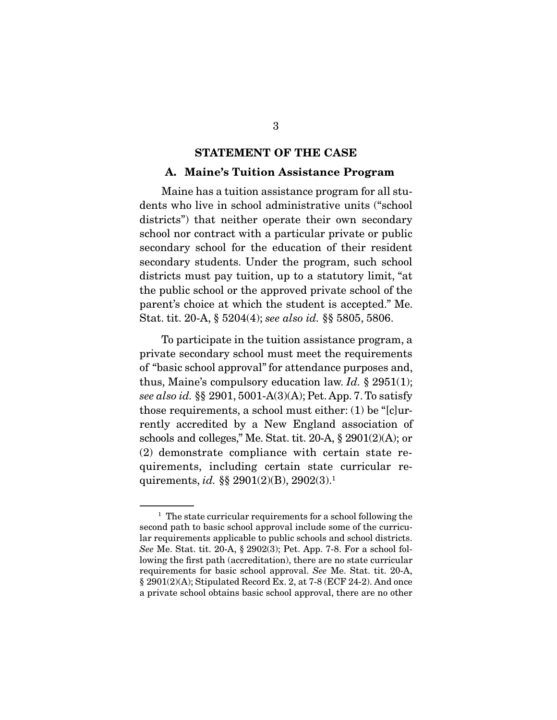#### **STATEMENT OF THE CASE**

#### **A. Maine's Tuition Assistance Program**

 Maine has a tuition assistance program for all students who live in school administrative units ("school districts") that neither operate their own secondary school nor contract with a particular private or public secondary school for the education of their resident secondary students. Under the program, such school districts must pay tuition, up to a statutory limit, "at the public school or the approved private school of the parent's choice at which the student is accepted." Me. Stat. tit. 20-A, § 5204(4); see also id. §§ 5805, 5806.

 To participate in the tuition assistance program, a private secondary school must meet the requirements of "basic school approval" for attendance purposes and, thus, Maine's compulsory education law. *Id.*  $\S$  2951(1); see also id. §§ 2901, 5001-A(3)(A); Pet. App. 7. To satisfy those requirements, a school must either: (1) be "[c]urrently accredited by a New England association of schools and colleges," Me. Stat. tit. 20-A, § 2901(2)(A); or (2) demonstrate compliance with certain state requirements, including certain state curricular requirements, *id.* §§ 2901(2)(B), 2902(3).<sup>1</sup>

 $1$  The state curricular requirements for a school following the second path to basic school approval include some of the curricular requirements applicable to public schools and school districts. See Me. Stat. tit. 20-A, § 2902(3); Pet. App. 7-8. For a school following the first path (accreditation), there are no state curricular requirements for basic school approval. See Me. Stat. tit. 20-A,  $\S 2901(2)$ (A); Stipulated Record Ex. 2, at 7-8 (ECF 24-2). And once a private school obtains basic school approval, there are no other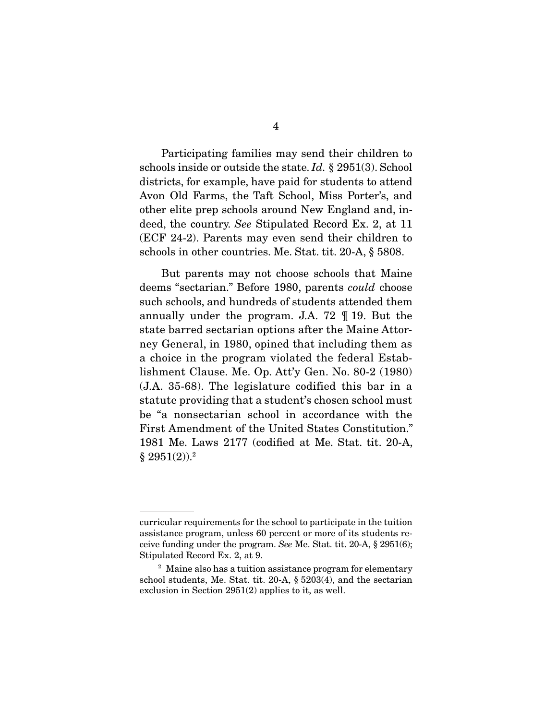Participating families may send their children to schools inside or outside the state. Id. § 2951(3). School districts, for example, have paid for students to attend Avon Old Farms, the Taft School, Miss Porter's, and other elite prep schools around New England and, indeed, the country. See Stipulated Record Ex. 2, at 11 (ECF 24-2). Parents may even send their children to schools in other countries. Me. Stat. tit. 20-A, § 5808.

 But parents may not choose schools that Maine deems "sectarian." Before 1980, parents could choose such schools, and hundreds of students attended them annually under the program. J.A. 72 ¶ 19. But the state barred sectarian options after the Maine Attorney General, in 1980, opined that including them as a choice in the program violated the federal Establishment Clause. Me. Op. Att'y Gen. No. 80-2 (1980) (J.A. 35-68). The legislature codified this bar in a statute providing that a student's chosen school must be "a nonsectarian school in accordance with the First Amendment of the United States Constitution." 1981 Me. Laws 2177 (codified at Me. Stat. tit. 20-A,  $§ 2951(2).$ <sup>2</sup>

curricular requirements for the school to participate in the tuition assistance program, unless 60 percent or more of its students receive funding under the program. See Me. Stat. tit. 20-A, § 2951(6); Stipulated Record Ex. 2, at 9.

<sup>&</sup>lt;sup>2</sup> Maine also has a tuition assistance program for elementary school students, Me. Stat. tit. 20-A, § 5203(4), and the sectarian exclusion in Section 2951(2) applies to it, as well.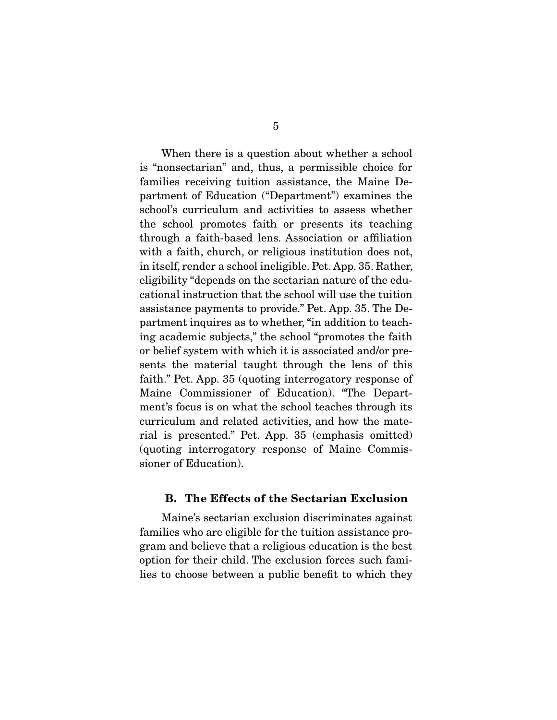When there is a question about whether a school is "nonsectarian" and, thus, a permissible choice for families receiving tuition assistance, the Maine Department of Education ("Department") examines the school's curriculum and activities to assess whether the school promotes faith or presents its teaching through a faith-based lens. Association or affiliation with a faith, church, or religious institution does not, in itself, render a school ineligible. Pet. App. 35. Rather, eligibility "depends on the sectarian nature of the educational instruction that the school will use the tuition assistance payments to provide." Pet. App. 35. The Department inquires as to whether, "in addition to teaching academic subjects," the school "promotes the faith or belief system with which it is associated and/or presents the material taught through the lens of this faith." Pet. App. 35 (quoting interrogatory response of Maine Commissioner of Education). "The Department's focus is on what the school teaches through its curriculum and related activities, and how the material is presented." Pet. App. 35 (emphasis omitted) (quoting interrogatory response of Maine Commissioner of Education).

#### **B. The Effects of the Sectarian Exclusion**

 Maine's sectarian exclusion discriminates against families who are eligible for the tuition assistance program and believe that a religious education is the best option for their child. The exclusion forces such families to choose between a public benefit to which they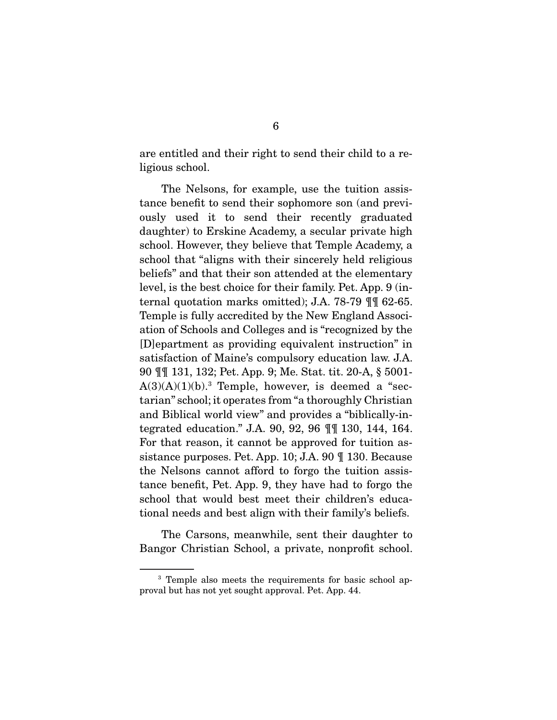are entitled and their right to send their child to a religious school.

 The Nelsons, for example, use the tuition assistance benefit to send their sophomore son (and previously used it to send their recently graduated daughter) to Erskine Academy, a secular private high school. However, they believe that Temple Academy, a school that "aligns with their sincerely held religious beliefs" and that their son attended at the elementary level, is the best choice for their family. Pet. App. 9 (internal quotation marks omitted); J.A. 78-79 ¶¶ 62-65. Temple is fully accredited by the New England Association of Schools and Colleges and is "recognized by the [D]epartment as providing equivalent instruction" in satisfaction of Maine's compulsory education law. J.A. 90 ¶¶ 131, 132; Pet. App. 9; Me. Stat. tit. 20-A, § 5001-  $A(3)(A)(1)(b).$ <sup>3</sup> Temple, however, is deemed a "sectarian" school; it operates from "a thoroughly Christian and Biblical world view" and provides a "biblically-integrated education." J.A. 90, 92, 96 ¶¶ 130, 144, 164. For that reason, it cannot be approved for tuition assistance purposes. Pet. App. 10; J.A. 90 ¶ 130. Because the Nelsons cannot afford to forgo the tuition assistance benefit, Pet. App. 9, they have had to forgo the school that would best meet their children's educational needs and best align with their family's beliefs.

 The Carsons, meanwhile, sent their daughter to Bangor Christian School, a private, nonprofit school.

<sup>&</sup>lt;sup>3</sup> Temple also meets the requirements for basic school approval but has not yet sought approval. Pet. App. 44.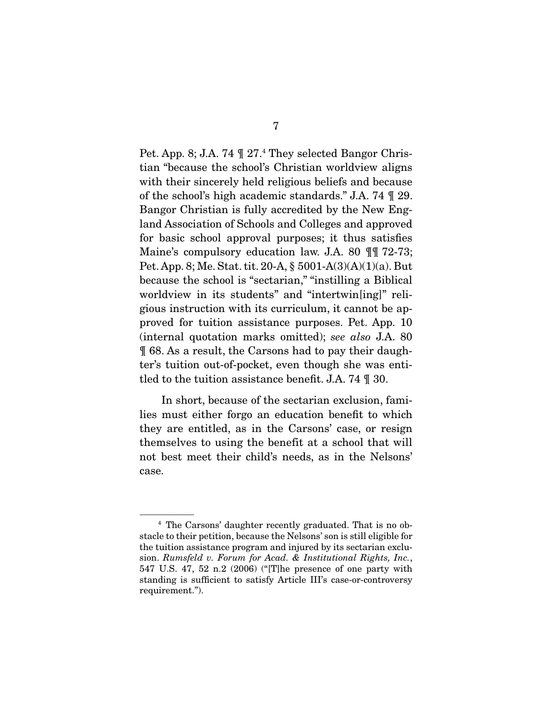Pet. App. 8; J.A. 74  $\mathcal{P}$  27.<sup>4</sup> They selected Bangor Christian "because the school's Christian worldview aligns with their sincerely held religious beliefs and because of the school's high academic standards." J.A. 74 ¶ 29. Bangor Christian is fully accredited by the New England Association of Schools and Colleges and approved for basic school approval purposes; it thus satisfies Maine's compulsory education law. J.A. 80  $\mathbb{I}$  72-73; Pet. App. 8; Me. Stat. tit. 20-A, § 5001-A(3)(A)(1)(a). But because the school is "sectarian," "instilling a Biblical worldview in its students" and "intertwin[ing]" religious instruction with its curriculum, it cannot be approved for tuition assistance purposes. Pet. App. 10 (internal quotation marks omitted); see also J.A. 80 ¶ 68. As a result, the Carsons had to pay their daughter's tuition out-of-pocket, even though she was entitled to the tuition assistance benefit. J.A. 74 ¶ 30.

 In short, because of the sectarian exclusion, families must either forgo an education benefit to which they are entitled, as in the Carsons' case, or resign themselves to using the benefit at a school that will not best meet their child's needs, as in the Nelsons' case.

<sup>4</sup> The Carsons' daughter recently graduated. That is no obstacle to their petition, because the Nelsons' son is still eligible for the tuition assistance program and injured by its sectarian exclusion. Rumsfeld v. Forum for Acad. & Institutional Rights, Inc., 547 U.S. 47, 52 n.2 (2006) ("[T]he presence of one party with standing is sufficient to satisfy Article III's case-or-controversy requirement.").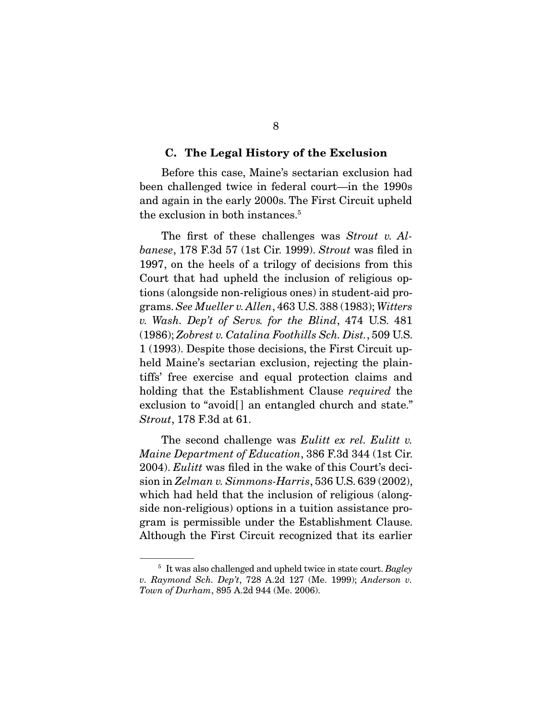#### **C. The Legal History of the Exclusion**

 Before this case, Maine's sectarian exclusion had been challenged twice in federal court—in the 1990s and again in the early 2000s. The First Circuit upheld the exclusion in both instances.<sup>5</sup>

The first of these challenges was *Strout v. Al*banese, 178 F.3d 57 (1st Cir. 1999). Strout was filed in 1997, on the heels of a trilogy of decisions from this Court that had upheld the inclusion of religious options (alongside non-religious ones) in student-aid programs. See Mueller v. Allen, 463 U.S. 388 (1983); Witters v. Wash. Dep't of Servs. for the Blind, 474 U.S. 481 (1986); Zobrest v. Catalina Foothills Sch. Dist., 509 U.S. 1 (1993). Despite those decisions, the First Circuit upheld Maine's sectarian exclusion, rejecting the plaintiffs' free exercise and equal protection claims and holding that the Establishment Clause *required* the exclusion to "avoid<sup>[]</sup> an entangled church and state." Strout, 178 F.3d at 61.

The second challenge was Eulitt ex rel. Eulitt v. Maine Department of Education, 386 F.3d 344 (1st Cir. 2004). Eulitt was filed in the wake of this Court's decision in Zelman v. Simmons-Harris, 536 U.S. 639 (2002), which had held that the inclusion of religious (alongside non-religious) options in a tuition assistance program is permissible under the Establishment Clause. Although the First Circuit recognized that its earlier

 $5$  It was also challenged and upheld twice in state court. Bagley v. Raymond Sch. Dep't, 728 A.2d 127 (Me. 1999); Anderson v. Town of Durham, 895 A.2d 944 (Me. 2006).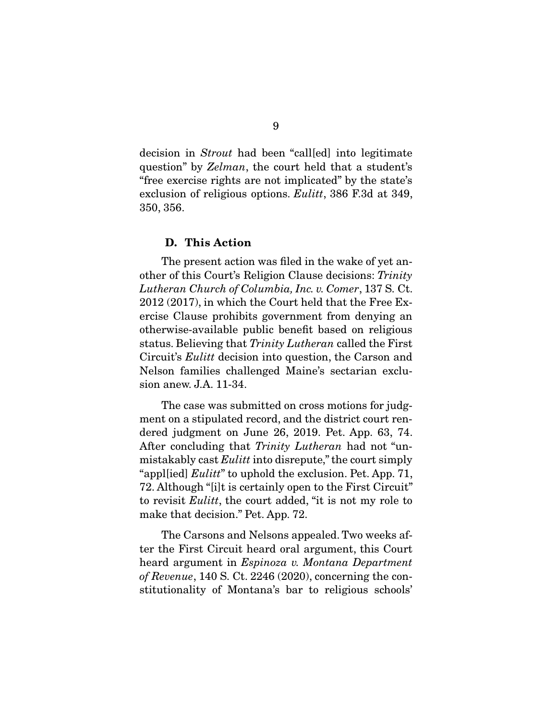decision in *Strout* had been "call[ed] into legitimate question" by Zelman, the court held that a student's "free exercise rights are not implicated" by the state's exclusion of religious options. *Eulitt*, 386 F.3d at 349, 350, 356.

#### **D. This Action**

 The present action was filed in the wake of yet another of this Court's Religion Clause decisions: Trinity Lutheran Church of Columbia, Inc. v. Comer, 137 S. Ct. 2012 (2017), in which the Court held that the Free Exercise Clause prohibits government from denying an otherwise-available public benefit based on religious status. Believing that Trinity Lutheran called the First Circuit's Eulitt decision into question, the Carson and Nelson families challenged Maine's sectarian exclusion anew. J.A. 11-34.

 The case was submitted on cross motions for judgment on a stipulated record, and the district court rendered judgment on June 26, 2019. Pet. App. 63, 74. After concluding that Trinity Lutheran had not "unmistakably cast *Eulitt* into disrepute," the court simply "applied Eulitt" to uphold the exclusion. Pet. App. 71, 72. Although "[i]t is certainly open to the First Circuit" to revisit *Eulitt*, the court added, "it is not my role to make that decision." Pet. App. 72.

 The Carsons and Nelsons appealed. Two weeks after the First Circuit heard oral argument, this Court heard argument in Espinoza v. Montana Department of Revenue, 140 S. Ct. 2246 (2020), concerning the constitutionality of Montana's bar to religious schools'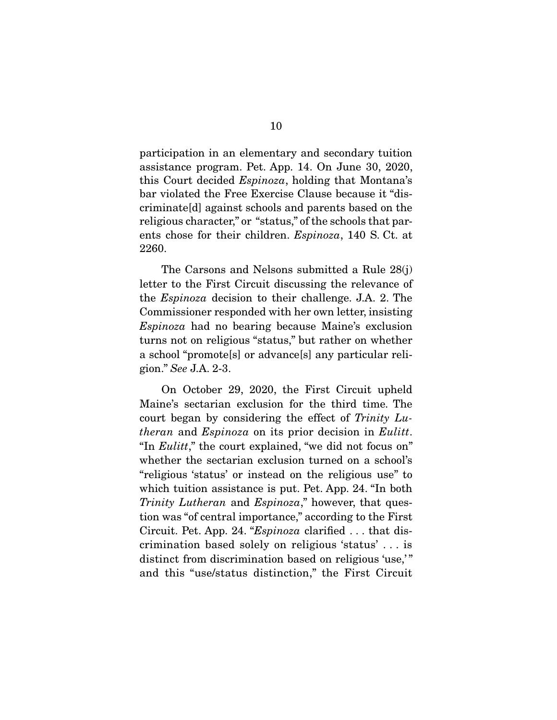participation in an elementary and secondary tuition assistance program. Pet. App. 14. On June 30, 2020, this Court decided Espinoza, holding that Montana's bar violated the Free Exercise Clause because it "discriminate[d] against schools and parents based on the religious character," or "status," of the schools that parents chose for their children. Espinoza, 140 S. Ct. at 2260.

 The Carsons and Nelsons submitted a Rule 28(j) letter to the First Circuit discussing the relevance of the Espinoza decision to their challenge. J.A. 2. The Commissioner responded with her own letter, insisting Espinoza had no bearing because Maine's exclusion turns not on religious "status," but rather on whether a school "promote[s] or advance[s] any particular religion." See J.A. 2-3.

 On October 29, 2020, the First Circuit upheld Maine's sectarian exclusion for the third time. The court began by considering the effect of Trinity Lutheran and Espinoza on its prior decision in Eulitt. "In *Eulitt*," the court explained, "we did not focus on" whether the sectarian exclusion turned on a school's "religious 'status' or instead on the religious use" to which tuition assistance is put. Pet. App. 24. "In both Trinity Lutheran and Espinoza," however, that question was "of central importance," according to the First Circuit. Pet. App. 24. "Espinoza clarified . . . that discrimination based solely on religious 'status' . . . is distinct from discrimination based on religious 'use,'" and this "use/status distinction," the First Circuit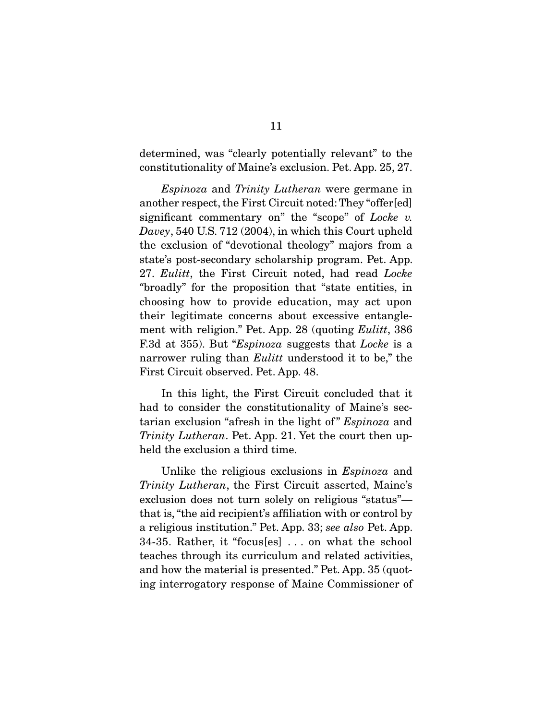determined, was "clearly potentially relevant" to the constitutionality of Maine's exclusion. Pet. App. 25, 27.

Espinoza and Trinity Lutheran were germane in another respect, the First Circuit noted: They "offer[ed] significant commentary on" the "scope" of Locke  $v$ . Davey, 540 U.S. 712 (2004), in which this Court upheld the exclusion of "devotional theology" majors from a state's post-secondary scholarship program. Pet. App. 27. Eulitt, the First Circuit noted, had read Locke "broadly" for the proposition that "state entities, in choosing how to provide education, may act upon their legitimate concerns about excessive entanglement with religion." Pet. App. 28 (quoting *Eulitt*, 386) F.3d at 355). But "Espinoza suggests that Locke is a narrower ruling than *Eulitt* understood it to be," the First Circuit observed. Pet. App. 48.

 In this light, the First Circuit concluded that it had to consider the constitutionality of Maine's sectarian exclusion "afresh in the light of" *Espinoza* and Trinity Lutheran. Pet. App. 21. Yet the court then upheld the exclusion a third time.

Unlike the religious exclusions in *Espinoza* and Trinity Lutheran, the First Circuit asserted, Maine's exclusion does not turn solely on religious "status" that is, "the aid recipient's affiliation with or control by a religious institution." Pet. App. 33; see also Pet. App. 34-35. Rather, it "focus[es] . . . on what the school teaches through its curriculum and related activities, and how the material is presented." Pet. App. 35 (quoting interrogatory response of Maine Commissioner of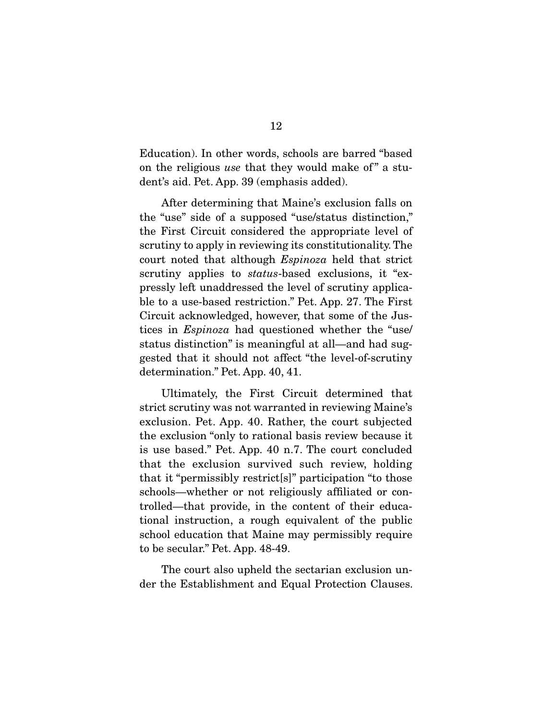Education). In other words, schools are barred "based on the religious use that they would make of" a student's aid. Pet. App. 39 (emphasis added).

 After determining that Maine's exclusion falls on the "use" side of a supposed "use/status distinction," the First Circuit considered the appropriate level of scrutiny to apply in reviewing its constitutionality. The court noted that although Espinoza held that strict scrutiny applies to *status*-based exclusions, it "expressly left unaddressed the level of scrutiny applicable to a use-based restriction." Pet. App. 27. The First Circuit acknowledged, however, that some of the Justices in Espinoza had questioned whether the "use/ status distinction" is meaningful at all—and had suggested that it should not affect "the level-of-scrutiny determination." Pet. App. 40, 41.

 Ultimately, the First Circuit determined that strict scrutiny was not warranted in reviewing Maine's exclusion. Pet. App. 40. Rather, the court subjected the exclusion "only to rational basis review because it is use based." Pet. App. 40 n.7. The court concluded that the exclusion survived such review, holding that it "permissibly restrict[s]" participation "to those schools—whether or not religiously affiliated or controlled—that provide, in the content of their educational instruction, a rough equivalent of the public school education that Maine may permissibly require to be secular." Pet. App. 48-49.

 The court also upheld the sectarian exclusion under the Establishment and Equal Protection Clauses.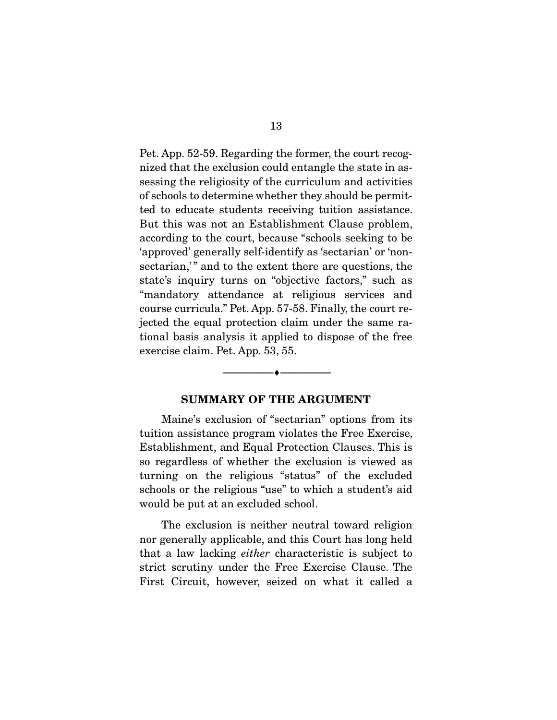Pet. App. 52-59. Regarding the former, the court recognized that the exclusion could entangle the state in assessing the religiosity of the curriculum and activities of schools to determine whether they should be permitted to educate students receiving tuition assistance. But this was not an Establishment Clause problem, according to the court, because "schools seeking to be 'approved' generally self-identify as 'sectarian' or 'nonsectarian," and to the extent there are questions, the state's inquiry turns on "objective factors," such as "mandatory attendance at religious services and course curricula." Pet. App. 57-58. Finally, the court rejected the equal protection claim under the same rational basis analysis it applied to dispose of the free exercise claim. Pet. App. 53, 55.

#### **SUMMARY OF THE ARGUMENT**

--------------------------------- ♦ ---------------------------------

 Maine's exclusion of "sectarian" options from its tuition assistance program violates the Free Exercise, Establishment, and Equal Protection Clauses. This is so regardless of whether the exclusion is viewed as turning on the religious "status" of the excluded schools or the religious "use" to which a student's aid would be put at an excluded school.

 The exclusion is neither neutral toward religion nor generally applicable, and this Court has long held that a law lacking either characteristic is subject to strict scrutiny under the Free Exercise Clause. The First Circuit, however, seized on what it called a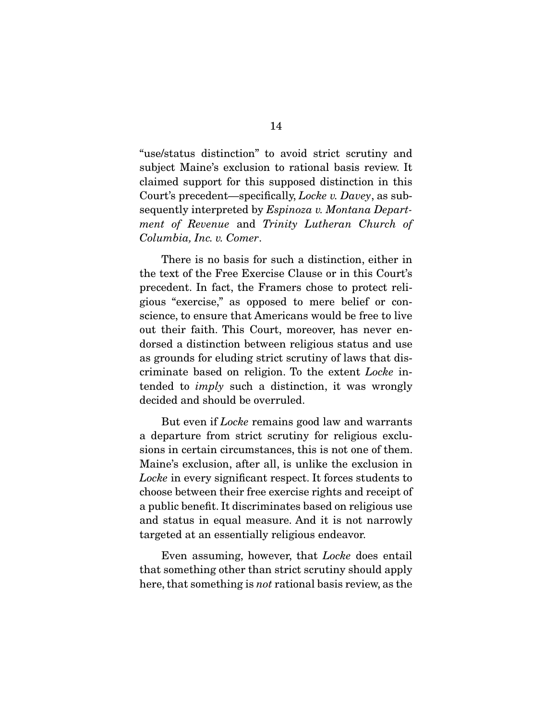"use/status distinction" to avoid strict scrutiny and subject Maine's exclusion to rational basis review. It claimed support for this supposed distinction in this Court's precedent—specifically, Locke v. Davey, as subsequently interpreted by Espinoza v. Montana Department of Revenue and Trinity Lutheran Church of Columbia, Inc. v. Comer.

 There is no basis for such a distinction, either in the text of the Free Exercise Clause or in this Court's precedent. In fact, the Framers chose to protect religious "exercise," as opposed to mere belief or conscience, to ensure that Americans would be free to live out their faith. This Court, moreover, has never endorsed a distinction between religious status and use as grounds for eluding strict scrutiny of laws that discriminate based on religion. To the extent Locke intended to imply such a distinction, it was wrongly decided and should be overruled.

 But even if Locke remains good law and warrants a departure from strict scrutiny for religious exclusions in certain circumstances, this is not one of them. Maine's exclusion, after all, is unlike the exclusion in Locke in every significant respect. It forces students to choose between their free exercise rights and receipt of a public benefit. It discriminates based on religious use and status in equal measure. And it is not narrowly targeted at an essentially religious endeavor.

Even assuming, however, that *Locke* does entail that something other than strict scrutiny should apply here, that something is not rational basis review, as the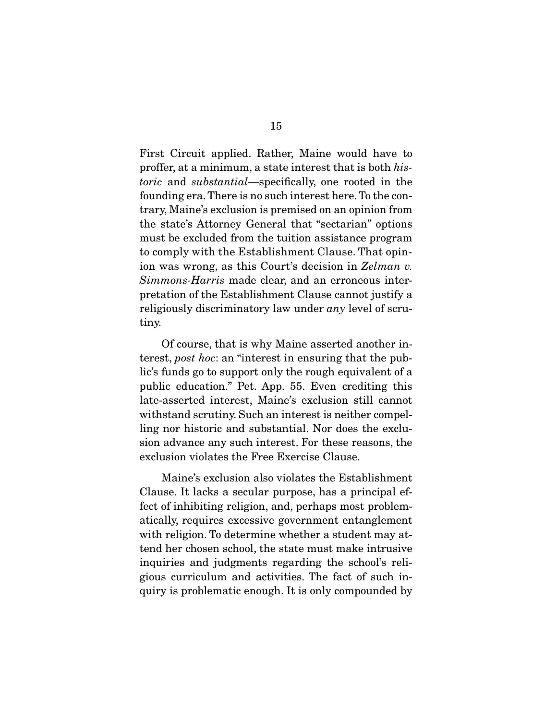First Circuit applied. Rather, Maine would have to proffer, at a minimum, a state interest that is both historic and substantial—specifically, one rooted in the founding era. There is no such interest here. To the contrary, Maine's exclusion is premised on an opinion from the state's Attorney General that "sectarian" options must be excluded from the tuition assistance program to comply with the Establishment Clause. That opinion was wrong, as this Court's decision in Zelman v. Simmons-Harris made clear, and an erroneous interpretation of the Establishment Clause cannot justify a religiously discriminatory law under any level of scrutiny.

 Of course, that is why Maine asserted another interest, post hoc: an "interest in ensuring that the public's funds go to support only the rough equivalent of a public education." Pet. App. 55. Even crediting this late-asserted interest, Maine's exclusion still cannot withstand scrutiny. Such an interest is neither compelling nor historic and substantial. Nor does the exclusion advance any such interest. For these reasons, the exclusion violates the Free Exercise Clause.

 Maine's exclusion also violates the Establishment Clause. It lacks a secular purpose, has a principal effect of inhibiting religion, and, perhaps most problematically, requires excessive government entanglement with religion. To determine whether a student may attend her chosen school, the state must make intrusive inquiries and judgments regarding the school's religious curriculum and activities. The fact of such inquiry is problematic enough. It is only compounded by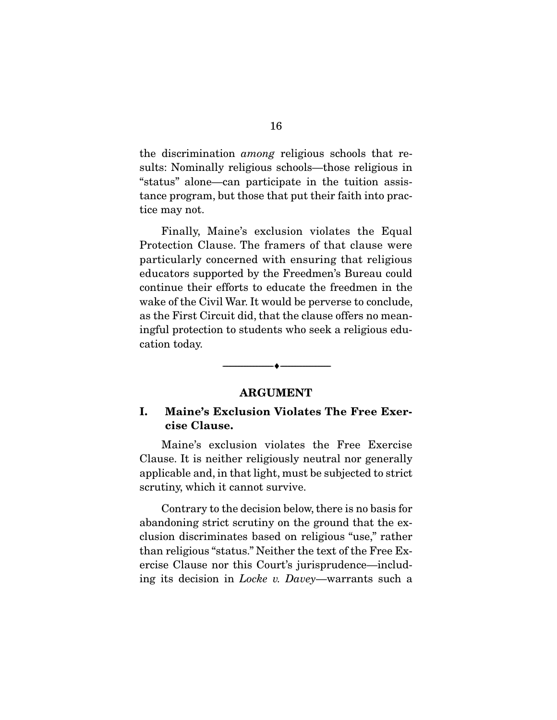the discrimination among religious schools that results: Nominally religious schools—those religious in "status" alone—can participate in the tuition assistance program, but those that put their faith into practice may not.

 Finally, Maine's exclusion violates the Equal Protection Clause. The framers of that clause were particularly concerned with ensuring that religious educators supported by the Freedmen's Bureau could continue their efforts to educate the freedmen in the wake of the Civil War. It would be perverse to conclude, as the First Circuit did, that the clause offers no meaningful protection to students who seek a religious education today.

#### **ARGUMENT**

--------------------------------- ♦ ---------------------------------

### **I. Maine's Exclusion Violates The Free Exercise Clause.**

 Maine's exclusion violates the Free Exercise Clause. It is neither religiously neutral nor generally applicable and, in that light, must be subjected to strict scrutiny, which it cannot survive.

 Contrary to the decision below, there is no basis for abandoning strict scrutiny on the ground that the exclusion discriminates based on religious "use," rather than religious "status." Neither the text of the Free Exercise Clause nor this Court's jurisprudence—including its decision in Locke v. Davey—warrants such a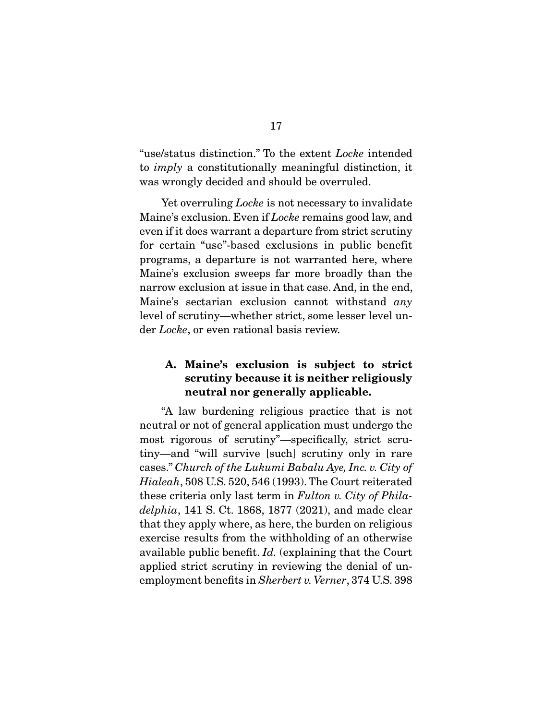"use/status distinction." To the extent Locke intended to imply a constitutionally meaningful distinction, it was wrongly decided and should be overruled.

Yet overruling *Locke* is not necessary to invalidate Maine's exclusion. Even if *Locke* remains good law, and even if it does warrant a departure from strict scrutiny for certain "use"-based exclusions in public benefit programs, a departure is not warranted here, where Maine's exclusion sweeps far more broadly than the narrow exclusion at issue in that case. And, in the end, Maine's sectarian exclusion cannot withstand any level of scrutiny—whether strict, some lesser level under Locke, or even rational basis review.

## **A. Maine's exclusion is subject to strict scrutiny because it is neither religiously neutral nor generally applicable.**

 "A law burdening religious practice that is not neutral or not of general application must undergo the most rigorous of scrutiny"—specifically, strict scrutiny—and "will survive [such] scrutiny only in rare cases." Church of the Lukumi Babalu Aye, Inc. v. City of Hialeah, 508 U.S. 520, 546 (1993). The Court reiterated these criteria only last term in Fulton v. City of Philadelphia, 141 S. Ct. 1868, 1877 (2021), and made clear that they apply where, as here, the burden on religious exercise results from the withholding of an otherwise available public benefit. Id. (explaining that the Court applied strict scrutiny in reviewing the denial of unemployment benefits in Sherbert v. Verner, 374 U.S. 398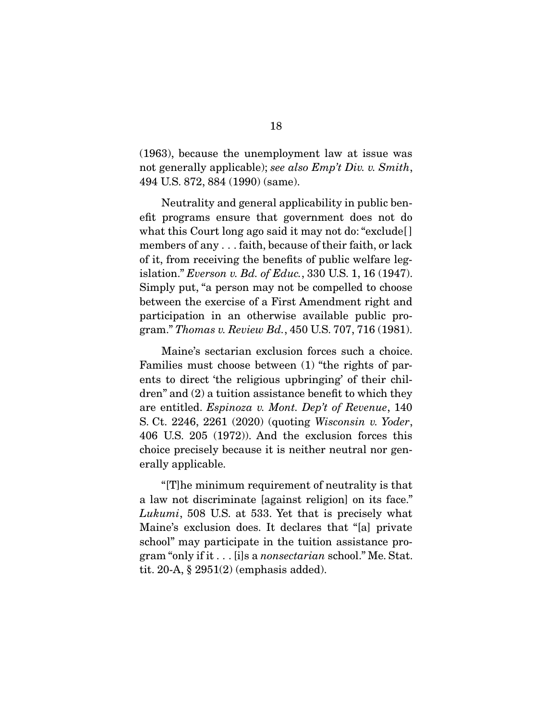(1963), because the unemployment law at issue was not generally applicable); see also Emp't Div. v. Smith, 494 U.S. 872, 884 (1990) (same).

 Neutrality and general applicability in public benefit programs ensure that government does not do what this Court long ago said it may not do: "exclude[ ] members of any . . . faith, because of their faith, or lack of it, from receiving the benefits of public welfare legislation." Everson v. Bd. of Educ., 330 U.S. 1, 16 (1947). Simply put, "a person may not be compelled to choose between the exercise of a First Amendment right and participation in an otherwise available public program." Thomas v. Review Bd., 450 U.S. 707, 716 (1981).

 Maine's sectarian exclusion forces such a choice. Families must choose between (1) "the rights of parents to direct 'the religious upbringing' of their children" and (2) a tuition assistance benefit to which they are entitled. Espinoza v. Mont. Dep't of Revenue, 140 S. Ct. 2246, 2261 (2020) (quoting Wisconsin v. Yoder, 406 U.S. 205 (1972)). And the exclusion forces this choice precisely because it is neither neutral nor generally applicable.

 "[T]he minimum requirement of neutrality is that a law not discriminate [against religion] on its face." Lukumi, 508 U.S. at 533. Yet that is precisely what Maine's exclusion does. It declares that "[a] private school" may participate in the tuition assistance program "only if it . . . [i]s a nonsectarian school." Me. Stat. tit. 20-A, § 2951(2) (emphasis added).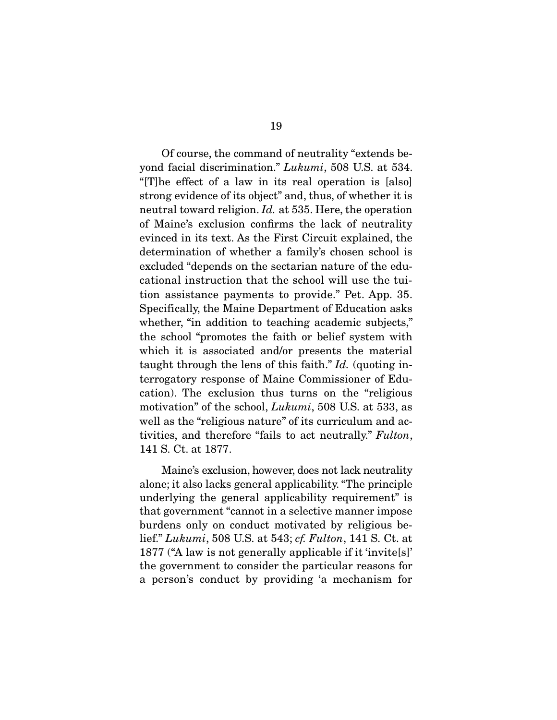Of course, the command of neutrality "extends beyond facial discrimination." Lukumi, 508 U.S. at 534. "[T]he effect of a law in its real operation is [also] strong evidence of its object" and, thus, of whether it is neutral toward religion. Id. at 535. Here, the operation of Maine's exclusion confirms the lack of neutrality evinced in its text. As the First Circuit explained, the determination of whether a family's chosen school is excluded "depends on the sectarian nature of the educational instruction that the school will use the tuition assistance payments to provide." Pet. App. 35. Specifically, the Maine Department of Education asks whether, "in addition to teaching academic subjects," the school "promotes the faith or belief system with which it is associated and/or presents the material taught through the lens of this faith."  $Id$ . (quoting interrogatory response of Maine Commissioner of Education). The exclusion thus turns on the "religious motivation" of the school, Lukumi, 508 U.S. at 533, as well as the "religious nature" of its curriculum and activities, and therefore "fails to act neutrally." Fulton, 141 S. Ct. at 1877.

 Maine's exclusion, however, does not lack neutrality alone; it also lacks general applicability. "The principle underlying the general applicability requirement" is that government "cannot in a selective manner impose burdens only on conduct motivated by religious belief." Lukumi, 508 U.S. at 543; cf. Fulton, 141 S. Ct. at 1877 ("A law is not generally applicable if it 'invite[s]' the government to consider the particular reasons for a person's conduct by providing 'a mechanism for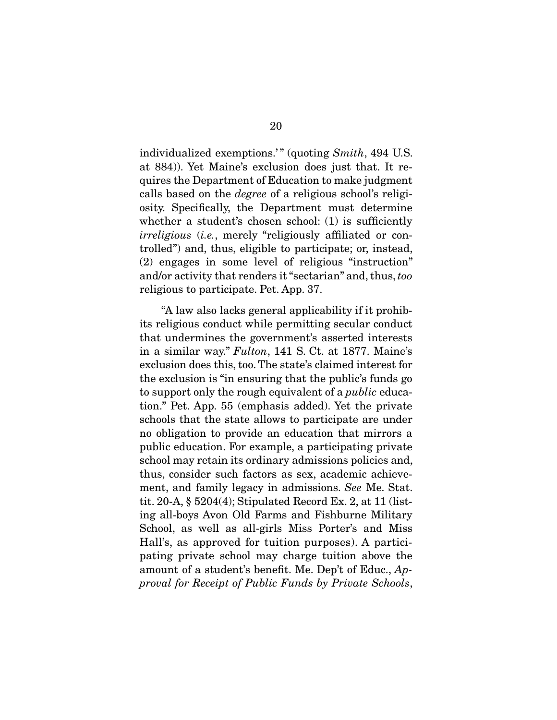individualized exemptions.'" (quoting Smith, 494 U.S. at 884)). Yet Maine's exclusion does just that. It requires the Department of Education to make judgment calls based on the degree of a religious school's religiosity. Specifically, the Department must determine whether a student's chosen school: (1) is sufficiently irreligious (i.e., merely "religiously affiliated or controlled") and, thus, eligible to participate; or, instead, (2) engages in some level of religious "instruction" and/or activity that renders it "sectarian" and, thus, too religious to participate. Pet. App. 37.

 "A law also lacks general applicability if it prohibits religious conduct while permitting secular conduct that undermines the government's asserted interests in a similar way." Fulton, 141 S. Ct. at 1877. Maine's exclusion does this, too. The state's claimed interest for the exclusion is "in ensuring that the public's funds go to support only the rough equivalent of a *public* education." Pet. App. 55 (emphasis added). Yet the private schools that the state allows to participate are under no obligation to provide an education that mirrors a public education. For example, a participating private school may retain its ordinary admissions policies and, thus, consider such factors as sex, academic achievement, and family legacy in admissions. See Me. Stat. tit. 20-A, § 5204(4); Stipulated Record Ex. 2, at 11 (listing all-boys Avon Old Farms and Fishburne Military School, as well as all-girls Miss Porter's and Miss Hall's, as approved for tuition purposes). A participating private school may charge tuition above the amount of a student's benefit. Me. Dep't of Educ., Approval for Receipt of Public Funds by Private Schools,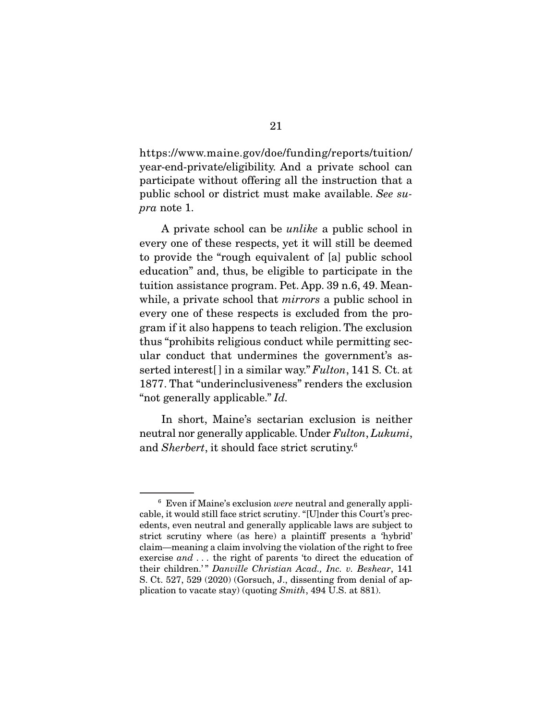https://www.maine.gov/doe/funding/reports/tuition/ year-end-private/eligibility. And a private school can participate without offering all the instruction that a public school or district must make available. See supra note 1.

 A private school can be unlike a public school in every one of these respects, yet it will still be deemed to provide the "rough equivalent of [a] public school education" and, thus, be eligible to participate in the tuition assistance program. Pet. App. 39 n.6, 49. Meanwhile, a private school that *mirrors* a public school in every one of these respects is excluded from the program if it also happens to teach religion. The exclusion thus "prohibits religious conduct while permitting secular conduct that undermines the government's asserted interest[] in a similar way." Fulton, 141 S. Ct. at 1877. That "underinclusiveness" renders the exclusion "not generally applicable." Id.

 In short, Maine's sectarian exclusion is neither neutral nor generally applicable. Under Fulton, Lukumi, and Sherbert, it should face strict scrutiny.6

 $6$  Even if Maine's exclusion *were* neutral and generally applicable, it would still face strict scrutiny. "[U]nder this Court's precedents, even neutral and generally applicable laws are subject to strict scrutiny where (as here) a plaintiff presents a 'hybrid' claim—meaning a claim involving the violation of the right to free exercise and . . . the right of parents 'to direct the education of their children.'" Danville Christian Acad., Inc. v. Beshear, 141 S. Ct. 527, 529 (2020) (Gorsuch, J., dissenting from denial of application to vacate stay) (quoting Smith, 494 U.S. at 881).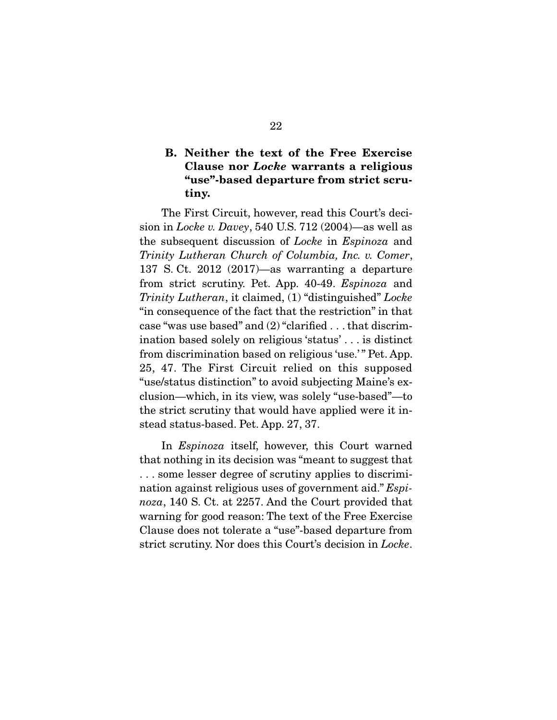## **B. Neither the text of the Free Exercise Clause nor** *Locke* **warrants a religious "use"-based departure from strict scrutiny.**

 The First Circuit, however, read this Court's decision in *Locke v. Davey*, 540 U.S. 712 (2004)—as well as the subsequent discussion of Locke in Espinoza and Trinity Lutheran Church of Columbia, Inc. v. Comer, 137 S. Ct. 2012 (2017)—as warranting a departure from strict scrutiny. Pet. App. 40-49. Espinoza and Trinity Lutheran, it claimed, (1) "distinguished" Locke "in consequence of the fact that the restriction" in that case "was use based" and (2) "clarified . . . that discrimination based solely on religious 'status' . . . is distinct from discrimination based on religious 'use.' " Pet. App. 25, 47. The First Circuit relied on this supposed "use/status distinction" to avoid subjecting Maine's exclusion—which, in its view, was solely "use-based"—to the strict scrutiny that would have applied were it instead status-based. Pet. App. 27, 37.

 In Espinoza itself, however, this Court warned that nothing in its decision was "meant to suggest that . . . some lesser degree of scrutiny applies to discrimination against religious uses of government aid." Espinoza, 140 S. Ct. at 2257. And the Court provided that warning for good reason: The text of the Free Exercise Clause does not tolerate a "use"-based departure from strict scrutiny. Nor does this Court's decision in Locke.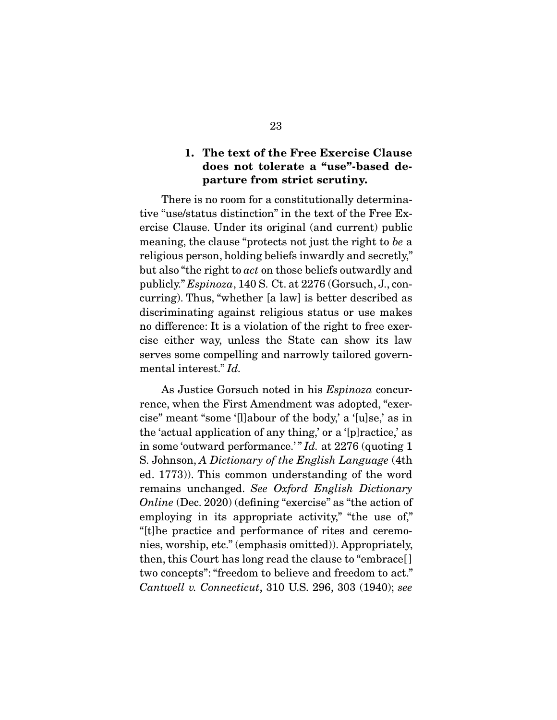### **1. The text of the Free Exercise Clause does not tolerate a "use"-based departure from strict scrutiny.**

 There is no room for a constitutionally determinative "use/status distinction" in the text of the Free Exercise Clause. Under its original (and current) public meaning, the clause "protects not just the right to be a religious person, holding beliefs inwardly and secretly," but also "the right to act on those beliefs outwardly and publicly." Espinoza, 140 S. Ct. at 2276 (Gorsuch, J., concurring). Thus, "whether [a law] is better described as discriminating against religious status or use makes no difference: It is a violation of the right to free exercise either way, unless the State can show its law serves some compelling and narrowly tailored governmental interest." Id.

 As Justice Gorsuch noted in his Espinoza concurrence, when the First Amendment was adopted, "exercise" meant "some '[l]abour of the body,' a '[u]se,' as in the 'actual application of any thing,' or a '[p]ractice,' as in some 'outward performance.'"  $Id$ . at 2276 (quoting 1) S. Johnson, A Dictionary of the English Language (4th ed. 1773)). This common understanding of the word remains unchanged. See Oxford English Dictionary Online (Dec. 2020) (defining "exercise" as "the action of employing in its appropriate activity," "the use of," "[t]he practice and performance of rites and ceremonies, worship, etc." (emphasis omitted)). Appropriately, then, this Court has long read the clause to "embrace[ ] two concepts": "freedom to believe and freedom to act." Cantwell v. Connecticut, 310 U.S. 296, 303 (1940); see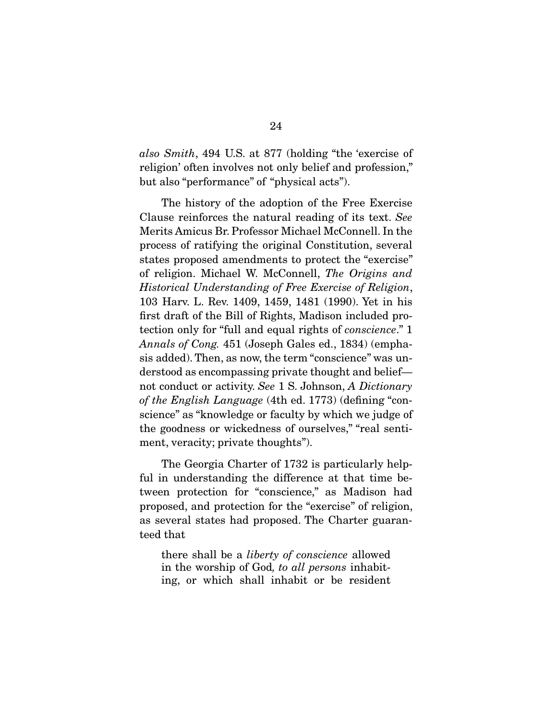also Smith, 494 U.S. at 877 (holding "the 'exercise of religion' often involves not only belief and profession," but also "performance" of "physical acts").

 The history of the adoption of the Free Exercise Clause reinforces the natural reading of its text. See Merits Amicus Br. Professor Michael McConnell. In the process of ratifying the original Constitution, several states proposed amendments to protect the "exercise" of religion. Michael W. McConnell, The Origins and Historical Understanding of Free Exercise of Religion, 103 Harv. L. Rev. 1409, 1459, 1481 (1990). Yet in his first draft of the Bill of Rights, Madison included protection only for "full and equal rights of conscience." 1 Annals of Cong. 451 (Joseph Gales ed., 1834) (emphasis added). Then, as now, the term "conscience" was understood as encompassing private thought and belief not conduct or activity. See 1 S. Johnson, A Dictionary of the English Language (4th ed. 1773) (defining "conscience" as "knowledge or faculty by which we judge of the goodness or wickedness of ourselves," "real sentiment, veracity; private thoughts").

 The Georgia Charter of 1732 is particularly helpful in understanding the difference at that time between protection for "conscience," as Madison had proposed, and protection for the "exercise" of religion, as several states had proposed. The Charter guaranteed that

there shall be a liberty of conscience allowed in the worship of God, to all persons inhabiting, or which shall inhabit or be resident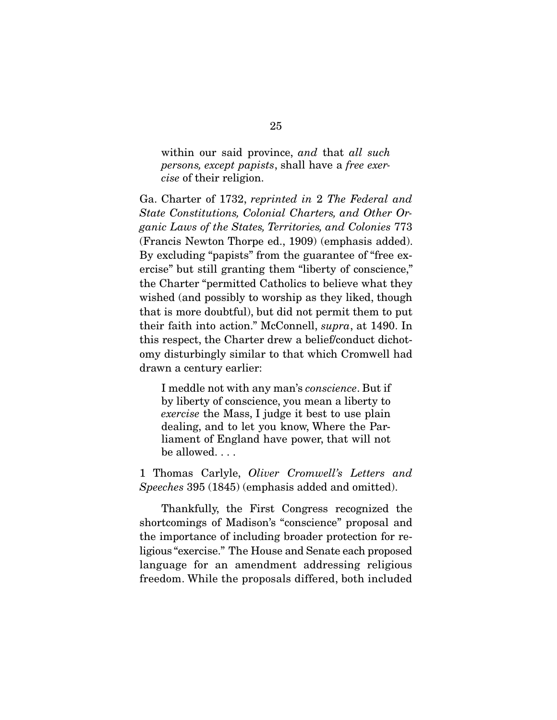within our said province, and that all such persons, except papists, shall have a free exercise of their religion.

Ga. Charter of 1732, reprinted in 2 The Federal and State Constitutions, Colonial Charters, and Other Organic Laws of the States, Territories, and Colonies 773 (Francis Newton Thorpe ed., 1909) (emphasis added). By excluding "papists" from the guarantee of "free exercise" but still granting them "liberty of conscience," the Charter "permitted Catholics to believe what they wished (and possibly to worship as they liked, though that is more doubtful), but did not permit them to put their faith into action." McConnell, supra, at 1490. In this respect, the Charter drew a belief/conduct dichotomy disturbingly similar to that which Cromwell had drawn a century earlier:

I meddle not with any man's conscience. But if by liberty of conscience, you mean a liberty to exercise the Mass, I judge it best to use plain dealing, and to let you know, Where the Parliament of England have power, that will not be allowed. . . .

1 Thomas Carlyle, Oliver Cromwell's Letters and Speeches 395 (1845) (emphasis added and omitted).

 Thankfully, the First Congress recognized the shortcomings of Madison's "conscience" proposal and the importance of including broader protection for religious "exercise." The House and Senate each proposed language for an amendment addressing religious freedom. While the proposals differed, both included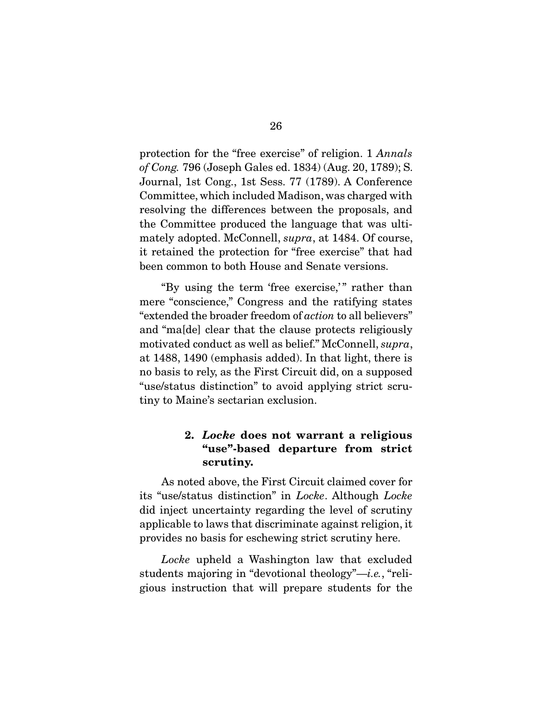protection for the "free exercise" of religion. 1 Annals of Cong. 796 (Joseph Gales ed. 1834) (Aug. 20, 1789); S. Journal, 1st Cong., 1st Sess. 77 (1789). A Conference Committee, which included Madison, was charged with resolving the differences between the proposals, and the Committee produced the language that was ultimately adopted. McConnell, *supra*, at 1484. Of course, it retained the protection for "free exercise" that had been common to both House and Senate versions.

"By using the term 'free exercise,'" rather than mere "conscience," Congress and the ratifying states "extended the broader freedom of action to all believers" and "ma[de] clear that the clause protects religiously motivated conduct as well as belief." McConnell, supra, at 1488, 1490 (emphasis added). In that light, there is no basis to rely, as the First Circuit did, on a supposed "use/status distinction" to avoid applying strict scrutiny to Maine's sectarian exclusion.

## **2.** *Locke* **does not warrant a religious "use"-based departure from strict scrutiny.**

 As noted above, the First Circuit claimed cover for its "use/status distinction" in Locke. Although Locke did inject uncertainty regarding the level of scrutiny applicable to laws that discriminate against religion, it provides no basis for eschewing strict scrutiny here.

Locke upheld a Washington law that excluded students majoring in "devotional theology"—i.e., "religious instruction that will prepare students for the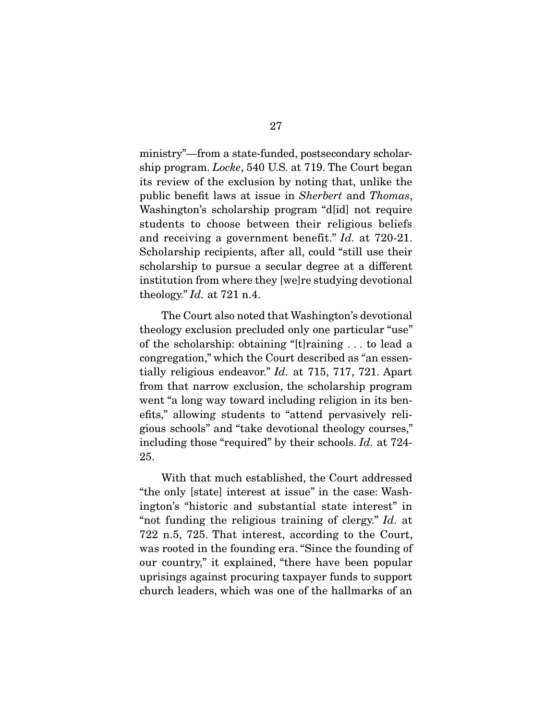ministry"—from a state-funded, postsecondary scholarship program. Locke, 540 U.S. at 719. The Court began its review of the exclusion by noting that, unlike the public benefit laws at issue in Sherbert and Thomas, Washington's scholarship program "d[id] not require students to choose between their religious beliefs and receiving a government benefit." Id. at 720-21. Scholarship recipients, after all, could "still use their scholarship to pursue a secular degree at a different institution from where they [we]re studying devotional theology." Id. at 721 n.4.

 The Court also noted that Washington's devotional theology exclusion precluded only one particular "use" of the scholarship: obtaining "[t]raining . . . to lead a congregation," which the Court described as "an essentially religious endeavor." Id. at 715, 717, 721. Apart from that narrow exclusion, the scholarship program went "a long way toward including religion in its benefits," allowing students to "attend pervasively religious schools" and "take devotional theology courses," including those "required" by their schools. Id. at 724- 25.

 With that much established, the Court addressed "the only [state] interest at issue" in the case: Washington's "historic and substantial state interest" in "not funding the religious training of clergy." Id. at 722 n.5, 725. That interest, according to the Court, was rooted in the founding era. "Since the founding of our country," it explained, "there have been popular uprisings against procuring taxpayer funds to support church leaders, which was one of the hallmarks of an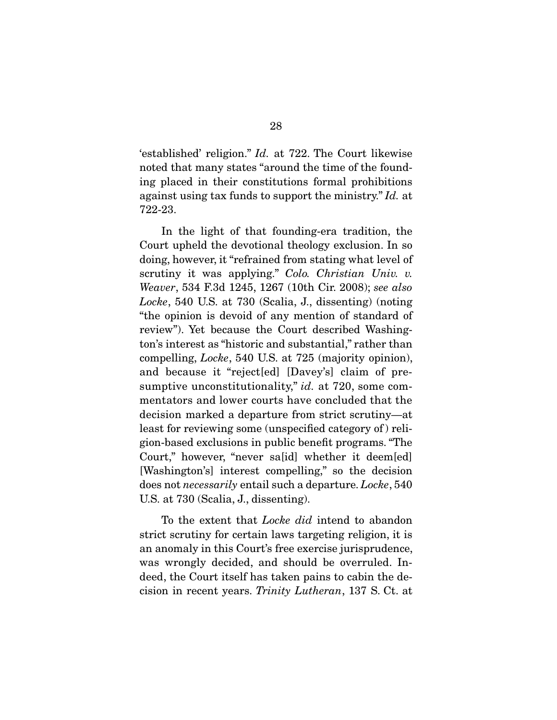'established' religion." Id. at 722. The Court likewise noted that many states "around the time of the founding placed in their constitutions formal prohibitions against using tax funds to support the ministry." Id. at 722-23.

 In the light of that founding-era tradition, the Court upheld the devotional theology exclusion. In so doing, however, it "refrained from stating what level of scrutiny it was applying." Colo. Christian Univ. v. Weaver, 534 F.3d 1245, 1267 (10th Cir. 2008); see also Locke, 540 U.S. at 730 (Scalia, J., dissenting) (noting "the opinion is devoid of any mention of standard of review"). Yet because the Court described Washington's interest as "historic and substantial," rather than compelling, Locke, 540 U.S. at 725 (majority opinion), and because it "reject[ed] [Davey's] claim of presumptive unconstitutionality," id. at 720, some commentators and lower courts have concluded that the decision marked a departure from strict scrutiny—at least for reviewing some (unspecified category of ) religion-based exclusions in public benefit programs. "The Court," however, "never sa[id] whether it deem[ed] [Washington's] interest compelling," so the decision does not *necessarily* entail such a departure. Locke, 540 U.S. at 730 (Scalia, J., dissenting).

To the extent that *Locke did* intend to abandon strict scrutiny for certain laws targeting religion, it is an anomaly in this Court's free exercise jurisprudence, was wrongly decided, and should be overruled. Indeed, the Court itself has taken pains to cabin the decision in recent years. Trinity Lutheran, 137 S. Ct. at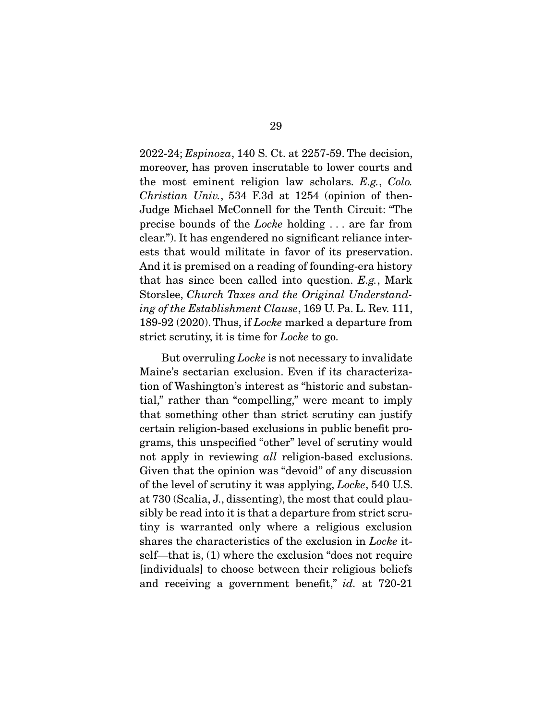2022-24; Espinoza, 140 S. Ct. at 2257-59. The decision, moreover, has proven inscrutable to lower courts and the most eminent religion law scholars. E.g., Colo. Christian Univ., 534 F.3d at 1254 (opinion of then-Judge Michael McConnell for the Tenth Circuit: "The precise bounds of the Locke holding . . . are far from clear."). It has engendered no significant reliance interests that would militate in favor of its preservation. And it is premised on a reading of founding-era history that has since been called into question. E.g., Mark Storslee, Church Taxes and the Original Understanding of the Establishment Clause, 169 U. Pa. L. Rev. 111, 189-92 (2020). Thus, if Locke marked a departure from strict scrutiny, it is time for *Locke* to go.

 But overruling Locke is not necessary to invalidate Maine's sectarian exclusion. Even if its characterization of Washington's interest as "historic and substantial," rather than "compelling," were meant to imply that something other than strict scrutiny can justify certain religion-based exclusions in public benefit programs, this unspecified "other" level of scrutiny would not apply in reviewing *all* religion-based exclusions. Given that the opinion was "devoid" of any discussion of the level of scrutiny it was applying, Locke, 540 U.S. at 730 (Scalia, J., dissenting), the most that could plausibly be read into it is that a departure from strict scrutiny is warranted only where a religious exclusion shares the characteristics of the exclusion in Locke itself—that is, (1) where the exclusion "does not require [individuals] to choose between their religious beliefs and receiving a government benefit," id. at 720-21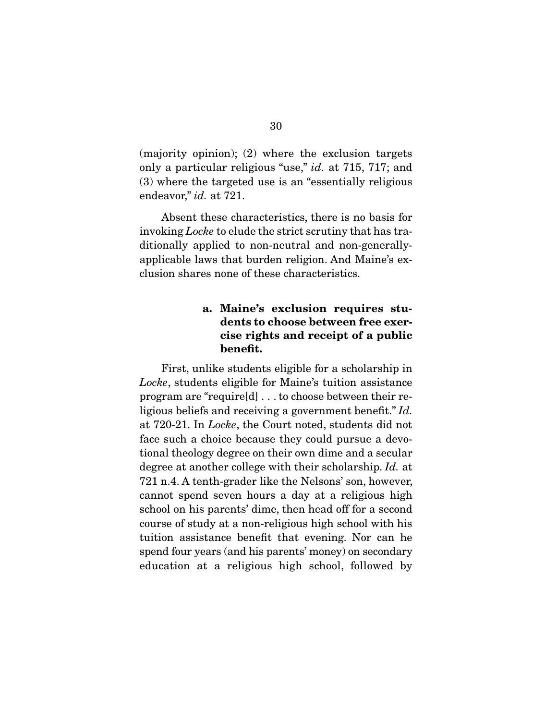(majority opinion); (2) where the exclusion targets only a particular religious "use," id. at 715, 717; and (3) where the targeted use is an "essentially religious endeavor," id. at 721.

 Absent these characteristics, there is no basis for invoking Locke to elude the strict scrutiny that has traditionally applied to non-neutral and non-generallyapplicable laws that burden religion. And Maine's exclusion shares none of these characteristics.

## **a. Maine's exclusion requires students to choose between free exercise rights and receipt of a public benefit.**

 First, unlike students eligible for a scholarship in Locke, students eligible for Maine's tuition assistance program are "require[d] . . . to choose between their religious beliefs and receiving a government benefit." Id. at 720-21. In Locke, the Court noted, students did not face such a choice because they could pursue a devotional theology degree on their own dime and a secular degree at another college with their scholarship. Id. at 721 n.4. A tenth-grader like the Nelsons' son, however, cannot spend seven hours a day at a religious high school on his parents' dime, then head off for a second course of study at a non-religious high school with his tuition assistance benefit that evening. Nor can he spend four years (and his parents' money) on secondary education at a religious high school, followed by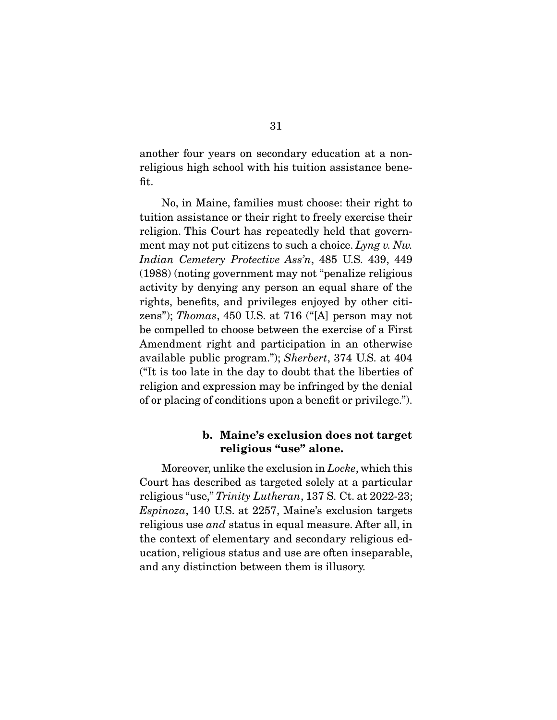another four years on secondary education at a nonreligious high school with his tuition assistance benefit.

 No, in Maine, families must choose: their right to tuition assistance or their right to freely exercise their religion. This Court has repeatedly held that government may not put citizens to such a choice. Lyng v. Nw. Indian Cemetery Protective Ass'n, 485 U.S. 439, 449 (1988) (noting government may not "penalize religious activity by denying any person an equal share of the rights, benefits, and privileges enjoyed by other citizens"); Thomas, 450 U.S. at 716 ("[A] person may not be compelled to choose between the exercise of a First Amendment right and participation in an otherwise available public program."); Sherbert, 374 U.S. at 404 ("It is too late in the day to doubt that the liberties of religion and expression may be infringed by the denial of or placing of conditions upon a benefit or privilege.").

## **b. Maine's exclusion does not target religious "use" alone.**

Moreover, unlike the exclusion in *Locke*, which this Court has described as targeted solely at a particular religious "use," Trinity Lutheran, 137 S. Ct. at 2022-23; Espinoza, 140 U.S. at 2257, Maine's exclusion targets religious use and status in equal measure. After all, in the context of elementary and secondary religious education, religious status and use are often inseparable, and any distinction between them is illusory.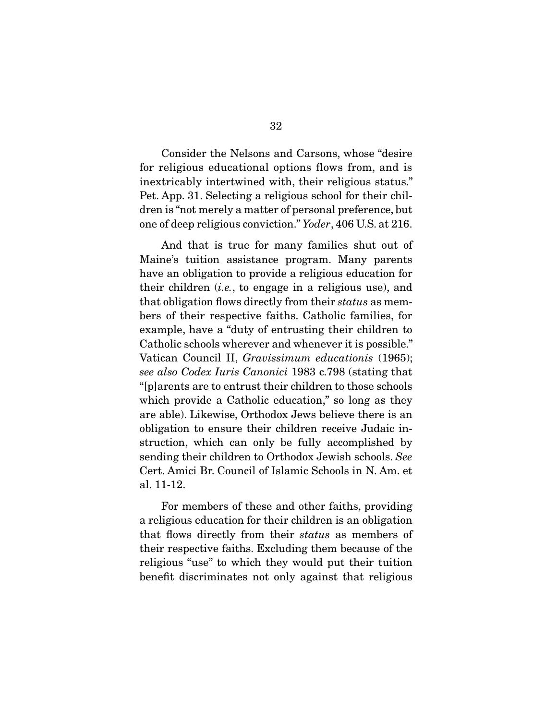Consider the Nelsons and Carsons, whose "desire for religious educational options flows from, and is inextricably intertwined with, their religious status." Pet. App. 31. Selecting a religious school for their children is "not merely a matter of personal preference, but one of deep religious conviction." Yoder, 406 U.S. at 216.

 And that is true for many families shut out of Maine's tuition assistance program. Many parents have an obligation to provide a religious education for their children (i.e., to engage in a religious use), and that obligation flows directly from their status as members of their respective faiths. Catholic families, for example, have a "duty of entrusting their children to Catholic schools wherever and whenever it is possible." Vatican Council II, Gravissimum educationis (1965); see also Codex Iuris Canonici 1983 c.798 (stating that "[p]arents are to entrust their children to those schools which provide a Catholic education," so long as they are able). Likewise, Orthodox Jews believe there is an obligation to ensure their children receive Judaic instruction, which can only be fully accomplished by sending their children to Orthodox Jewish schools. See Cert. Amici Br. Council of Islamic Schools in N. Am. et al. 11-12.

 For members of these and other faiths, providing a religious education for their children is an obligation that flows directly from their status as members of their respective faiths. Excluding them because of the religious "use" to which they would put their tuition benefit discriminates not only against that religious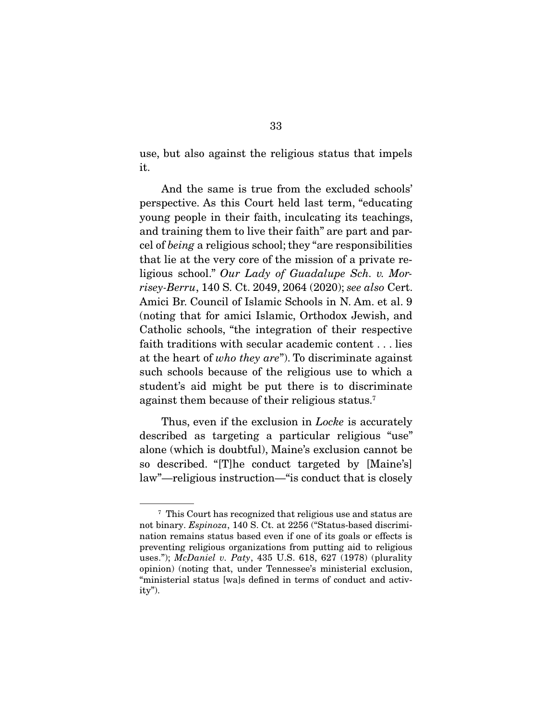use, but also against the religious status that impels it.

 And the same is true from the excluded schools' perspective. As this Court held last term, "educating young people in their faith, inculcating its teachings, and training them to live their faith" are part and parcel of being a religious school; they "are responsibilities that lie at the very core of the mission of a private religious school." Our Lady of Guadalupe Sch. v. Morrisey-Berru, 140 S. Ct. 2049, 2064 (2020); see also Cert. Amici Br. Council of Islamic Schools in N. Am. et al. 9 (noting that for amici Islamic, Orthodox Jewish, and Catholic schools, "the integration of their respective faith traditions with secular academic content . . . lies at the heart of who they are"). To discriminate against such schools because of the religious use to which a student's aid might be put there is to discriminate against them because of their religious status.7

Thus, even if the exclusion in *Locke* is accurately described as targeting a particular religious "use" alone (which is doubtful), Maine's exclusion cannot be so described. "[T]he conduct targeted by [Maine's] law"—religious instruction—"is conduct that is closely

<sup>7</sup> This Court has recognized that religious use and status are not binary. Espinoza, 140 S. Ct. at 2256 ("Status-based discrimination remains status based even if one of its goals or effects is preventing religious organizations from putting aid to religious uses."); McDaniel v. Paty, 435 U.S. 618, 627 (1978) (plurality opinion) (noting that, under Tennessee's ministerial exclusion, "ministerial status [wa]s defined in terms of conduct and activity").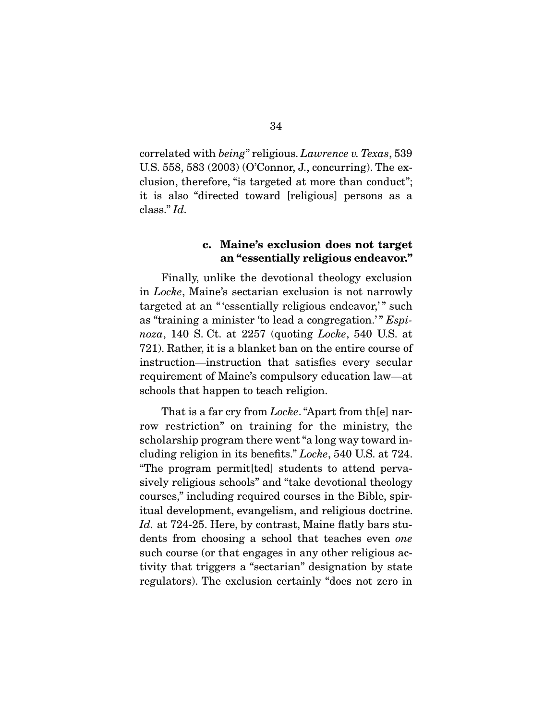correlated with being" religious. Lawrence v. Texas, 539 U.S. 558, 583 (2003) (O'Connor, J., concurring). The exclusion, therefore, "is targeted at more than conduct"; it is also "directed toward [religious] persons as a class." Id.

### **c. Maine's exclusion does not target an "essentially religious endeavor."**

 Finally, unlike the devotional theology exclusion in Locke, Maine's sectarian exclusion is not narrowly targeted at an "'essentially religious endeavor,'" such as "training a minister 'to lead a congregation.'" Espinoza, 140 S. Ct. at 2257 (quoting Locke, 540 U.S. at 721). Rather, it is a blanket ban on the entire course of instruction—instruction that satisfies every secular requirement of Maine's compulsory education law—at schools that happen to teach religion.

 That is a far cry from Locke. "Apart from th[e] narrow restriction" on training for the ministry, the scholarship program there went "a long way toward including religion in its benefits." Locke, 540 U.S. at 724. "The program permit[ted] students to attend pervasively religious schools" and "take devotional theology courses," including required courses in the Bible, spiritual development, evangelism, and religious doctrine. Id. at 724-25. Here, by contrast, Maine flatly bars students from choosing a school that teaches even one such course (or that engages in any other religious activity that triggers a "sectarian" designation by state regulators). The exclusion certainly "does not zero in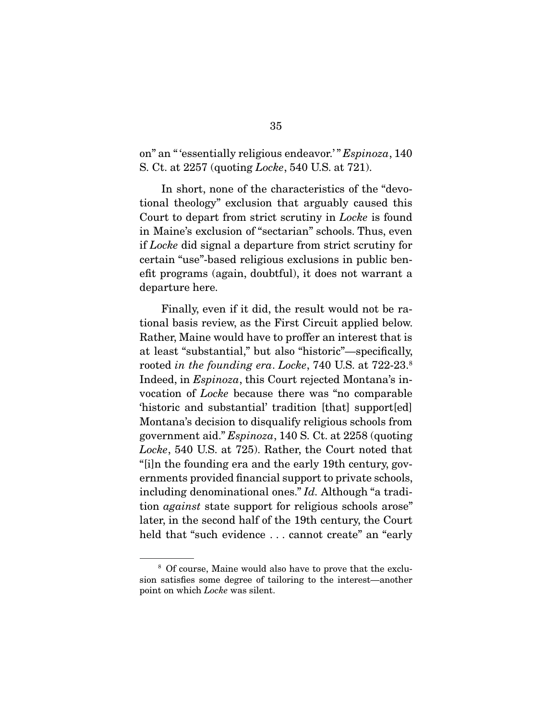on" an " 'essentially religious endeavor.' " Espinoza, 140 S. Ct. at 2257 (quoting Locke, 540 U.S. at 721).

 In short, none of the characteristics of the "devotional theology" exclusion that arguably caused this Court to depart from strict scrutiny in Locke is found in Maine's exclusion of "sectarian" schools. Thus, even if Locke did signal a departure from strict scrutiny for certain "use"-based religious exclusions in public benefit programs (again, doubtful), it does not warrant a departure here.

 Finally, even if it did, the result would not be rational basis review, as the First Circuit applied below. Rather, Maine would have to proffer an interest that is at least "substantial," but also "historic"—specifically, rooted in the founding era. Locke, 740 U.S. at 722-23.<sup>8</sup> Indeed, in Espinoza, this Court rejected Montana's invocation of Locke because there was "no comparable 'historic and substantial' tradition [that] support[ed] Montana's decision to disqualify religious schools from government aid." Espinoza, 140 S. Ct. at 2258 (quoting Locke, 540 U.S. at 725). Rather, the Court noted that "[i]n the founding era and the early 19th century, governments provided financial support to private schools, including denominational ones." Id. Although "a tradition against state support for religious schools arose" later, in the second half of the 19th century, the Court held that "such evidence ... cannot create" an "early

<sup>8</sup> Of course, Maine would also have to prove that the exclusion satisfies some degree of tailoring to the interest—another point on which Locke was silent.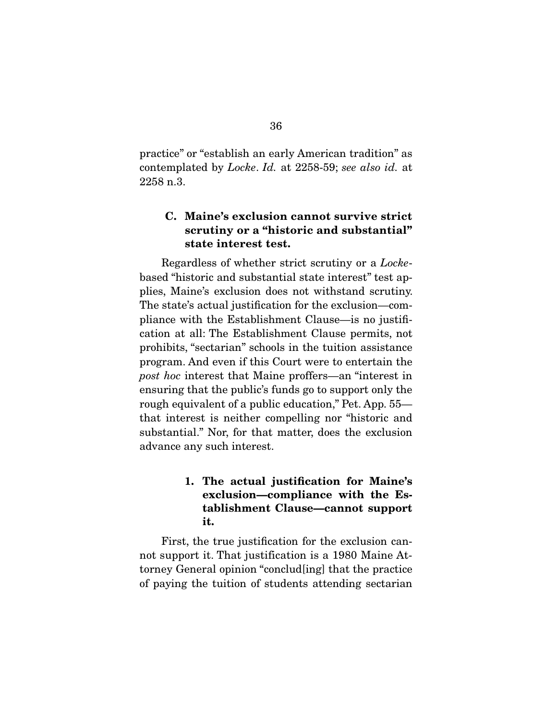practice" or "establish an early American tradition" as contemplated by Locke. Id. at 2258-59; see also id. at 2258 n.3.

## **C. Maine's exclusion cannot survive strict scrutiny or a "historic and substantial" state interest test.**

 Regardless of whether strict scrutiny or a Lockebased "historic and substantial state interest" test applies, Maine's exclusion does not withstand scrutiny. The state's actual justification for the exclusion—compliance with the Establishment Clause—is no justification at all: The Establishment Clause permits, not prohibits, "sectarian" schools in the tuition assistance program. And even if this Court were to entertain the post hoc interest that Maine proffers—an "interest in ensuring that the public's funds go to support only the rough equivalent of a public education," Pet. App. 55 that interest is neither compelling nor "historic and substantial." Nor, for that matter, does the exclusion advance any such interest.

## **1. The actual justification for Maine's exclusion—compliance with the Establishment Clause—cannot support it.**

 First, the true justification for the exclusion cannot support it. That justification is a 1980 Maine Attorney General opinion "conclud[ing] that the practice of paying the tuition of students attending sectarian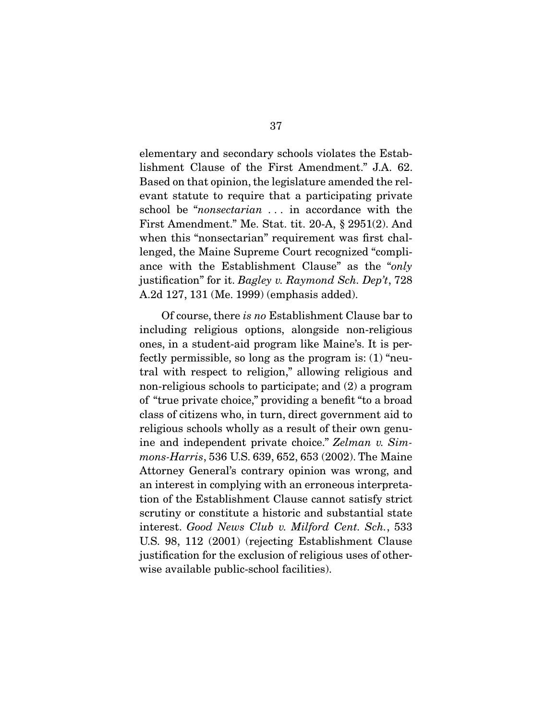elementary and secondary schools violates the Establishment Clause of the First Amendment." J.A. 62. Based on that opinion, the legislature amended the relevant statute to require that a participating private school be "nonsectarian ... in accordance with the First Amendment." Me. Stat. tit. 20-A, § 2951(2). And when this "nonsectarian" requirement was first challenged, the Maine Supreme Court recognized "compliance with the Establishment Clause" as the "only justification" for it. Bagley v. Raymond Sch. Dep't, 728 A.2d 127, 131 (Me. 1999) (emphasis added).

 Of course, there is no Establishment Clause bar to including religious options, alongside non-religious ones, in a student-aid program like Maine's. It is perfectly permissible, so long as the program is: (1) "neutral with respect to religion," allowing religious and non-religious schools to participate; and (2) a program of "true private choice," providing a benefit "to a broad class of citizens who, in turn, direct government aid to religious schools wholly as a result of their own genuine and independent private choice." Zelman v. Simmons-Harris, 536 U.S. 639, 652, 653 (2002). The Maine Attorney General's contrary opinion was wrong, and an interest in complying with an erroneous interpretation of the Establishment Clause cannot satisfy strict scrutiny or constitute a historic and substantial state interest. Good News Club v. Milford Cent. Sch., 533 U.S. 98, 112 (2001) (rejecting Establishment Clause justification for the exclusion of religious uses of otherwise available public-school facilities).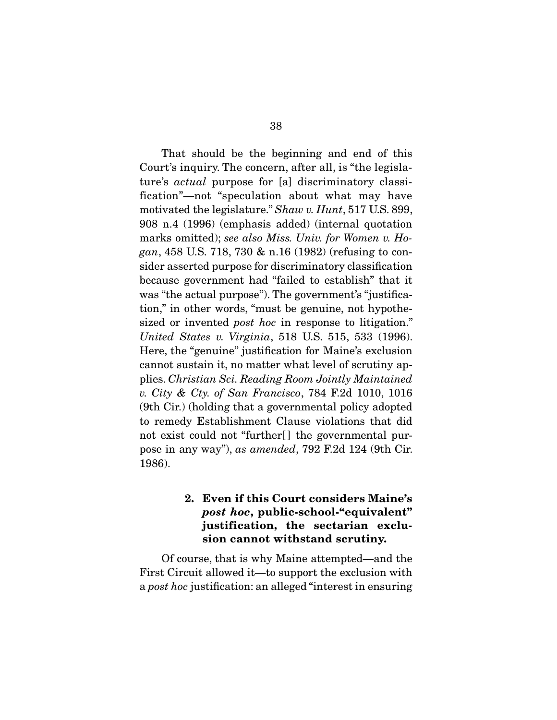That should be the beginning and end of this Court's inquiry. The concern, after all, is "the legislature's actual purpose for [a] discriminatory classification"—not "speculation about what may have motivated the legislature." Shaw v. Hunt, 517 U.S. 899, 908 n.4 (1996) (emphasis added) (internal quotation marks omitted); see also Miss. Univ. for Women v. Hogan, 458 U.S. 718, 730 & n.16 (1982) (refusing to consider asserted purpose for discriminatory classification because government had "failed to establish" that it was "the actual purpose"). The government's "justification," in other words, "must be genuine, not hypothesized or invented *post hoc* in response to litigation." United States v. Virginia, 518 U.S. 515, 533 (1996). Here, the "genuine" justification for Maine's exclusion cannot sustain it, no matter what level of scrutiny applies. Christian Sci. Reading Room Jointly Maintained v. City & Cty. of San Francisco, 784 F.2d 1010, 1016 (9th Cir.) (holding that a governmental policy adopted to remedy Establishment Clause violations that did not exist could not "further<sup>[]</sup> the governmental purpose in any way"), as amended, 792 F.2d 124 (9th Cir. 1986).

# **2. Even if this Court considers Maine's**  *post hoc***, public-school-"equivalent" justification, the sectarian exclusion cannot withstand scrutiny.**

 Of course, that is why Maine attempted—and the First Circuit allowed it—to support the exclusion with a post hoc justification: an alleged "interest in ensuring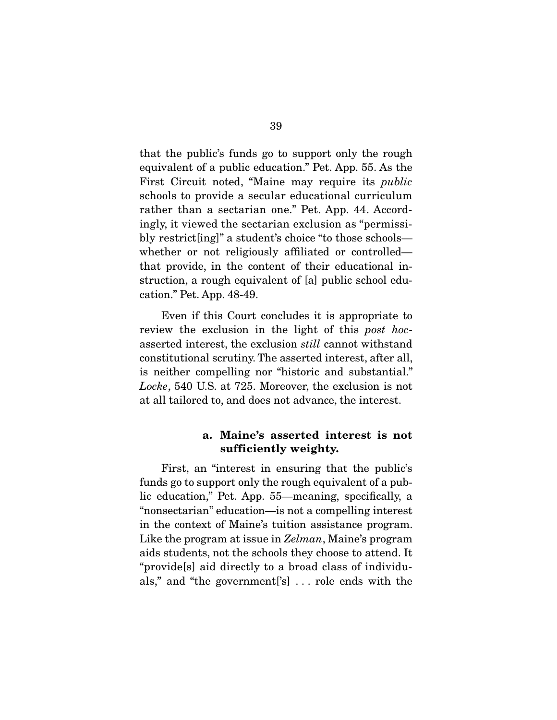that the public's funds go to support only the rough equivalent of a public education." Pet. App. 55. As the First Circuit noted, "Maine may require its public schools to provide a secular educational curriculum rather than a sectarian one." Pet. App. 44. Accordingly, it viewed the sectarian exclusion as "permissibly restrict[ing]" a student's choice "to those schools whether or not religiously affiliated or controlled that provide, in the content of their educational instruction, a rough equivalent of [a] public school education." Pet. App. 48-49.

 Even if this Court concludes it is appropriate to review the exclusion in the light of this post hocasserted interest, the exclusion still cannot withstand constitutional scrutiny. The asserted interest, after all, is neither compelling nor "historic and substantial." Locke, 540 U.S. at 725. Moreover, the exclusion is not at all tailored to, and does not advance, the interest.

### **a. Maine's asserted interest is not sufficiently weighty.**

 First, an "interest in ensuring that the public's funds go to support only the rough equivalent of a public education," Pet. App. 55—meaning, specifically, a "nonsectarian" education—is not a compelling interest in the context of Maine's tuition assistance program. Like the program at issue in Zelman, Maine's program aids students, not the schools they choose to attend. It "provide[s] aid directly to a broad class of individuals," and "the government['s] . . . role ends with the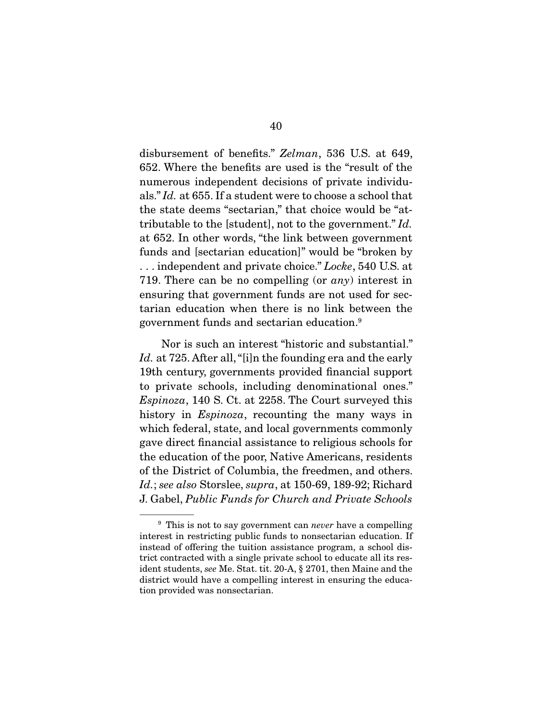disbursement of benefits." Zelman, 536 U.S. at 649, 652. Where the benefits are used is the "result of the numerous independent decisions of private individuals." Id. at 655. If a student were to choose a school that the state deems "sectarian," that choice would be "attributable to the [student], not to the government." Id. at 652. In other words, "the link between government funds and [sectarian education]" would be "broken by ... independent and private choice." Locke, 540 U.S. at 719. There can be no compelling (or  $any$ ) interest in ensuring that government funds are not used for sectarian education when there is no link between the government funds and sectarian education.9

 Nor is such an interest "historic and substantial." Id. at 725. After all, "[i]n the founding era and the early 19th century, governments provided financial support to private schools, including denominational ones." Espinoza, 140 S. Ct. at 2258. The Court surveyed this history in *Espinoza*, recounting the many ways in which federal, state, and local governments commonly gave direct financial assistance to religious schools for the education of the poor, Native Americans, residents of the District of Columbia, the freedmen, and others. Id.; see also Storslee, supra, at 150-69, 189-92; Richard J. Gabel, Public Funds for Church and Private Schools

 $9$  This is not to say government can *never* have a compelling interest in restricting public funds to nonsectarian education. If instead of offering the tuition assistance program, a school district contracted with a single private school to educate all its resident students, see Me. Stat. tit. 20-A, § 2701, then Maine and the district would have a compelling interest in ensuring the education provided was nonsectarian.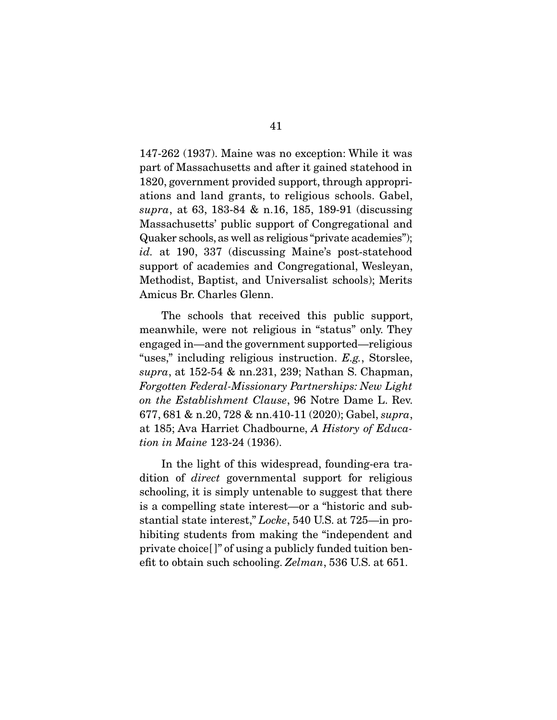147-262 (1937). Maine was no exception: While it was part of Massachusetts and after it gained statehood in 1820, government provided support, through appropriations and land grants, to religious schools. Gabel, supra, at 63, 183-84 & n.16, 185, 189-91 (discussing Massachusetts' public support of Congregational and Quaker schools, as well as religious "private academies"); id. at 190, 337 (discussing Maine's post-statehood support of academies and Congregational, Wesleyan, Methodist, Baptist, and Universalist schools); Merits Amicus Br. Charles Glenn.

 The schools that received this public support, meanwhile, were not religious in "status" only. They engaged in—and the government supported—religious "uses," including religious instruction. E.g., Storslee, supra, at 152-54 & nn.231, 239; Nathan S. Chapman, Forgotten Federal-Missionary Partnerships: New Light on the Establishment Clause, 96 Notre Dame L. Rev. 677, 681 & n.20, 728 & nn.410-11 (2020); Gabel, supra, at 185; Ava Harriet Chadbourne, A History of Education in Maine 123-24 (1936).

 In the light of this widespread, founding-era tradition of direct governmental support for religious schooling, it is simply untenable to suggest that there is a compelling state interest—or a "historic and substantial state interest," Locke, 540 U.S. at 725—in prohibiting students from making the "independent and private choice[ ]" of using a publicly funded tuition benefit to obtain such schooling. Zelman, 536 U.S. at 651.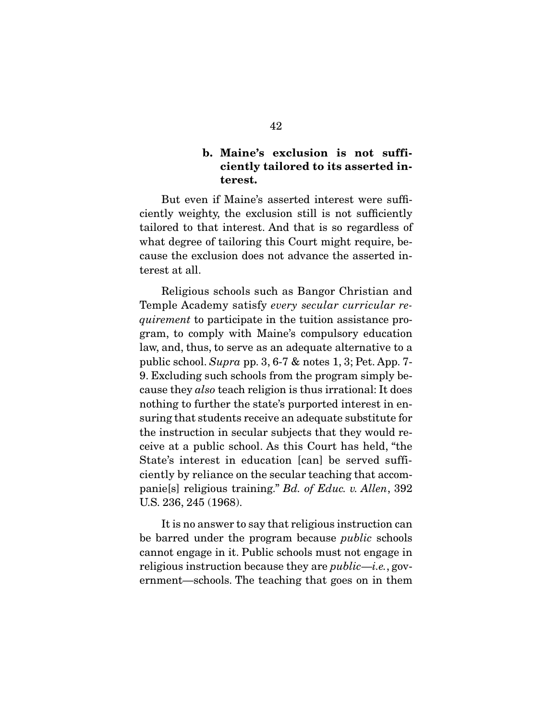### **b. Maine's exclusion is not sufficiently tailored to its asserted interest.**

 But even if Maine's asserted interest were sufficiently weighty, the exclusion still is not sufficiently tailored to that interest. And that is so regardless of what degree of tailoring this Court might require, because the exclusion does not advance the asserted interest at all.

 Religious schools such as Bangor Christian and Temple Academy satisfy every secular curricular requirement to participate in the tuition assistance program, to comply with Maine's compulsory education law, and, thus, to serve as an adequate alternative to a public school. Supra pp. 3, 6-7 & notes 1, 3; Pet. App. 7- 9. Excluding such schools from the program simply because they also teach religion is thus irrational: It does nothing to further the state's purported interest in ensuring that students receive an adequate substitute for the instruction in secular subjects that they would receive at a public school. As this Court has held, "the State's interest in education [can] be served sufficiently by reliance on the secular teaching that accompanie[s] religious training." Bd. of Educ. v. Allen, 392 U.S. 236, 245 (1968).

 It is no answer to say that religious instruction can be barred under the program because *public* schools cannot engage in it. Public schools must not engage in religious instruction because they are *public—i.e.*, government—schools. The teaching that goes on in them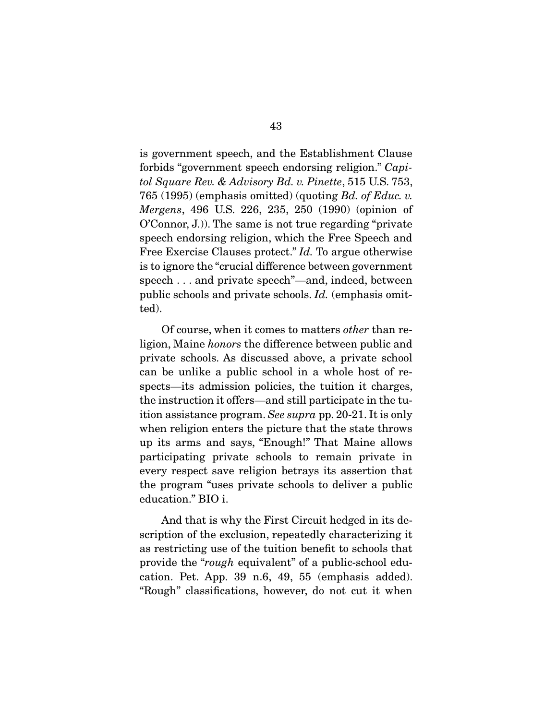is government speech, and the Establishment Clause forbids "government speech endorsing religion." Capitol Square Rev. & Advisory Bd. v. Pinette, 515 U.S. 753, 765 (1995) (emphasis omitted) (quoting Bd. of Educ. v. Mergens, 496 U.S. 226, 235, 250 (1990) (opinion of O'Connor, J.)). The same is not true regarding "private speech endorsing religion, which the Free Speech and Free Exercise Clauses protect." Id. To argue otherwise is to ignore the "crucial difference between government speech . . . and private speech"—and, indeed, between public schools and private schools. Id. (emphasis omitted).

 Of course, when it comes to matters other than religion, Maine honors the difference between public and private schools. As discussed above, a private school can be unlike a public school in a whole host of respects—its admission policies, the tuition it charges, the instruction it offers—and still participate in the tuition assistance program. See supra pp. 20-21. It is only when religion enters the picture that the state throws up its arms and says, "Enough!" That Maine allows participating private schools to remain private in every respect save religion betrays its assertion that the program "uses private schools to deliver a public education." BIO i.

 And that is why the First Circuit hedged in its description of the exclusion, repeatedly characterizing it as restricting use of the tuition benefit to schools that provide the "rough equivalent" of a public-school education. Pet. App. 39 n.6, 49, 55 (emphasis added). "Rough" classifications, however, do not cut it when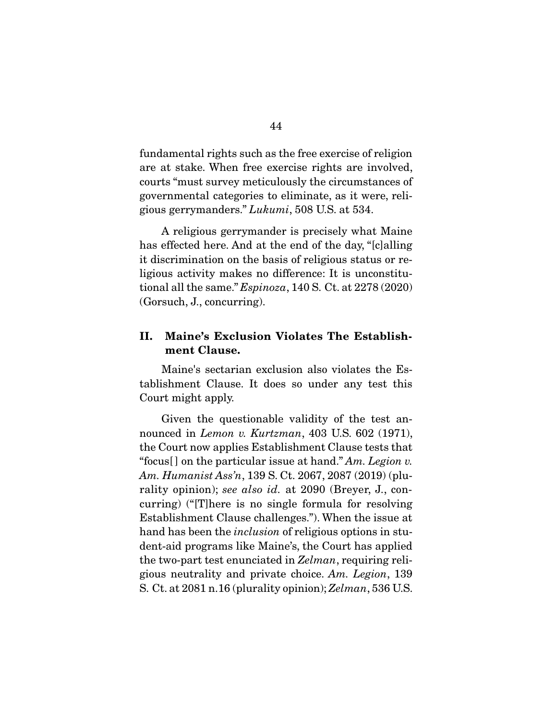fundamental rights such as the free exercise of religion are at stake. When free exercise rights are involved, courts "must survey meticulously the circumstances of governmental categories to eliminate, as it were, religious gerrymanders." Lukumi, 508 U.S. at 534.

 A religious gerrymander is precisely what Maine has effected here. And at the end of the day, "[c]alling it discrimination on the basis of religious status or religious activity makes no difference: It is unconstitutional all the same." Espinoza, 140 S. Ct. at 2278 (2020) (Gorsuch, J., concurring).

### **II. Maine's Exclusion Violates The Establishment Clause.**

 Maine's sectarian exclusion also violates the Establishment Clause. It does so under any test this Court might apply.

 Given the questionable validity of the test announced in Lemon v. Kurtzman, 403 U.S. 602 (1971), the Court now applies Establishment Clause tests that "focus[] on the particular issue at hand." Am. Legion v. Am. Humanist Ass'n, 139 S. Ct. 2067, 2087 (2019) (plurality opinion); see also id. at 2090 (Breyer, J., concurring) ("[T]here is no single formula for resolving Establishment Clause challenges."). When the issue at hand has been the *inclusion* of religious options in student-aid programs like Maine's, the Court has applied the two-part test enunciated in Zelman, requiring religious neutrality and private choice. Am. Legion, 139 S. Ct. at 2081 n.16 (plurality opinion); Zelman, 536 U.S.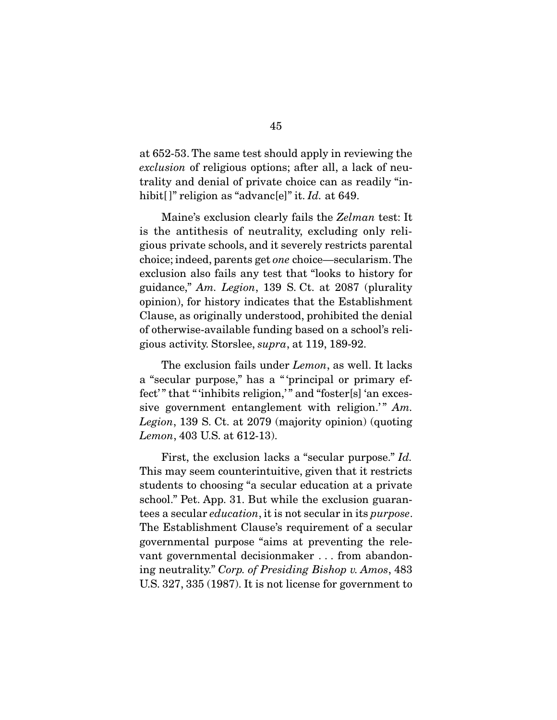at 652-53. The same test should apply in reviewing the exclusion of religious options; after all, a lack of neutrality and denial of private choice can as readily "inhibit[]" religion as "advanc[e]" it.  $Id.$  at 649.

 Maine's exclusion clearly fails the Zelman test: It is the antithesis of neutrality, excluding only religious private schools, and it severely restricts parental choice; indeed, parents get one choice—secularism. The exclusion also fails any test that "looks to history for guidance," Am. Legion, 139 S. Ct. at 2087 (plurality opinion), for history indicates that the Establishment Clause, as originally understood, prohibited the denial of otherwise-available funding based on a school's religious activity. Storslee, supra, at 119, 189-92.

 The exclusion fails under Lemon, as well. It lacks a "secular purpose," has a " 'principal or primary effect'" that " 'inhibits religion," and "foster[s] 'an excessive government entanglement with religion.'"  $Am$ . Legion, 139 S. Ct. at 2079 (majority opinion) (quoting Lemon, 403 U.S. at 612-13).

 First, the exclusion lacks a "secular purpose." Id. This may seem counterintuitive, given that it restricts students to choosing "a secular education at a private school." Pet. App. 31. But while the exclusion guarantees a secular education, it is not secular in its purpose. The Establishment Clause's requirement of a secular governmental purpose "aims at preventing the relevant governmental decisionmaker . . . from abandoning neutrality." Corp. of Presiding Bishop v. Amos, 483 U.S. 327, 335 (1987). It is not license for government to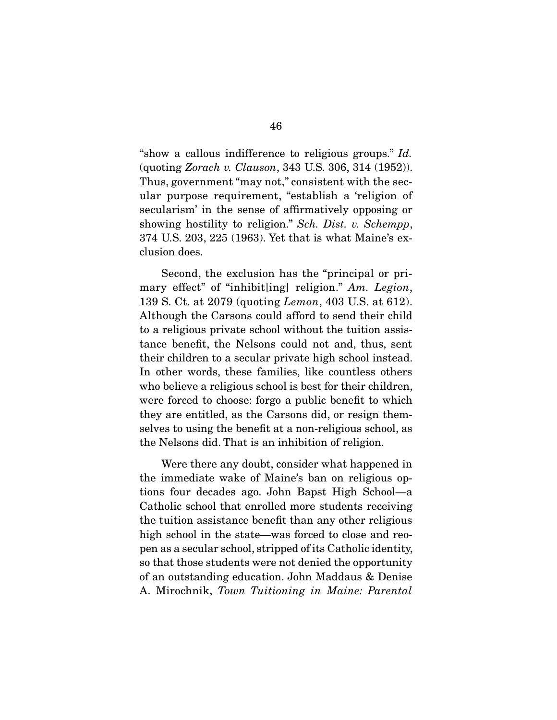"show a callous indifference to religious groups." Id. (quoting Zorach v. Clauson, 343 U.S. 306, 314 (1952)). Thus, government "may not," consistent with the secular purpose requirement, "establish a 'religion of secularism' in the sense of affirmatively opposing or showing hostility to religion." Sch. Dist. v. Schempp, 374 U.S. 203, 225 (1963). Yet that is what Maine's exclusion does.

 Second, the exclusion has the "principal or primary effect" of "inhibit[ing] religion." Am. Legion, 139 S. Ct. at 2079 (quoting Lemon, 403 U.S. at 612). Although the Carsons could afford to send their child to a religious private school without the tuition assistance benefit, the Nelsons could not and, thus, sent their children to a secular private high school instead. In other words, these families, like countless others who believe a religious school is best for their children, were forced to choose: forgo a public benefit to which they are entitled, as the Carsons did, or resign themselves to using the benefit at a non-religious school, as the Nelsons did. That is an inhibition of religion.

 Were there any doubt, consider what happened in the immediate wake of Maine's ban on religious options four decades ago. John Bapst High School—a Catholic school that enrolled more students receiving the tuition assistance benefit than any other religious high school in the state—was forced to close and reopen as a secular school, stripped of its Catholic identity, so that those students were not denied the opportunity of an outstanding education. John Maddaus & Denise A. Mirochnik, Town Tuitioning in Maine: Parental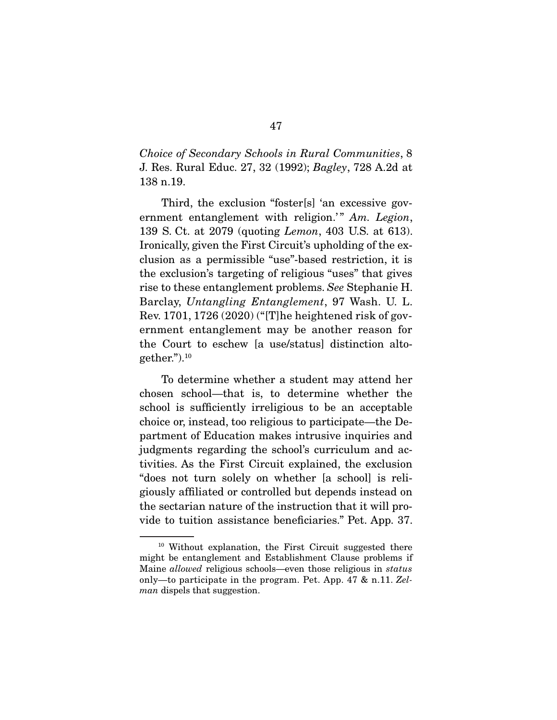Choice of Secondary Schools in Rural Communities, 8 J. Res. Rural Educ. 27, 32 (1992); Bagley, 728 A.2d at 138 n.19.

 Third, the exclusion "foster[s] 'an excessive government entanglement with religion.'" Am. Legion, 139 S. Ct. at 2079 (quoting Lemon, 403 U.S. at 613). Ironically, given the First Circuit's upholding of the exclusion as a permissible "use"-based restriction, it is the exclusion's targeting of religious "uses" that gives rise to these entanglement problems. See Stephanie H. Barclay, Untangling Entanglement, 97 Wash. U. L. Rev. 1701, 1726 (2020) ("[T]he heightened risk of government entanglement may be another reason for the Court to eschew [a use/status] distinction altogether." $^{10}$ 

 To determine whether a student may attend her chosen school—that is, to determine whether the school is sufficiently irreligious to be an acceptable choice or, instead, too religious to participate—the Department of Education makes intrusive inquiries and judgments regarding the school's curriculum and activities. As the First Circuit explained, the exclusion "does not turn solely on whether [a school] is religiously affiliated or controlled but depends instead on the sectarian nature of the instruction that it will provide to tuition assistance beneficiaries." Pet. App. 37.

<sup>10</sup> Without explanation, the First Circuit suggested there might be entanglement and Establishment Clause problems if Maine allowed religious schools—even those religious in status only—to participate in the program. Pet. App. 47 & n.11. Zelman dispels that suggestion.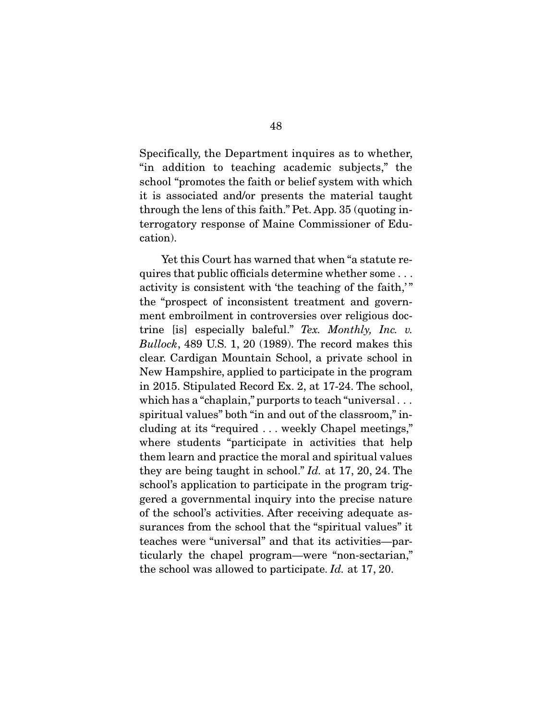Specifically, the Department inquires as to whether, "in addition to teaching academic subjects," the school "promotes the faith or belief system with which it is associated and/or presents the material taught through the lens of this faith." Pet. App. 35 (quoting interrogatory response of Maine Commissioner of Education).

 Yet this Court has warned that when "a statute requires that public officials determine whether some . . . activity is consistent with 'the teaching of the faith,'" the "prospect of inconsistent treatment and government embroilment in controversies over religious doctrine [is] especially baleful." Tex. Monthly, Inc. v. Bullock, 489 U.S. 1, 20 (1989). The record makes this clear. Cardigan Mountain School, a private school in New Hampshire, applied to participate in the program in 2015. Stipulated Record Ex. 2, at 17-24. The school, which has a "chaplain," purports to teach "universal... spiritual values" both "in and out of the classroom," including at its "required . . . weekly Chapel meetings," where students "participate in activities that help them learn and practice the moral and spiritual values they are being taught in school." Id. at 17, 20, 24. The school's application to participate in the program triggered a governmental inquiry into the precise nature of the school's activities. After receiving adequate assurances from the school that the "spiritual values" it teaches were "universal" and that its activities—particularly the chapel program—were "non-sectarian," the school was allowed to participate. Id. at 17, 20.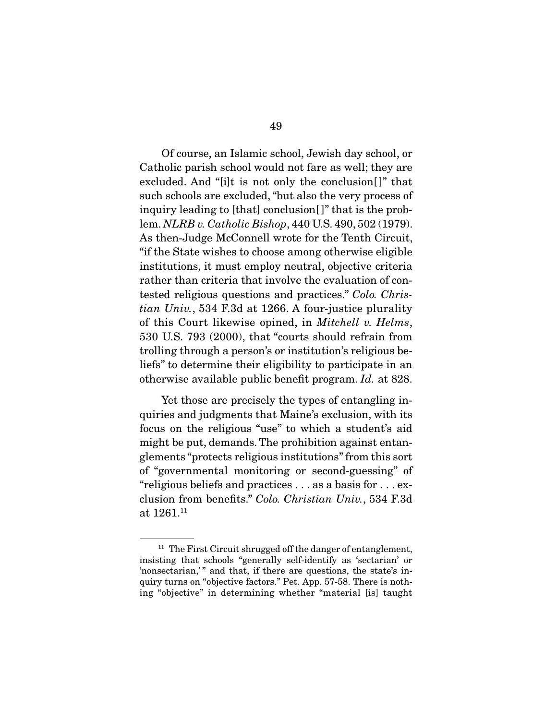Of course, an Islamic school, Jewish day school, or Catholic parish school would not fare as well; they are excluded. And "[i]t is not only the conclusion[ ]" that such schools are excluded, "but also the very process of inquiry leading to [that] conclusion[ ]" that is the problem. NLRB v. Catholic Bishop, 440 U.S. 490, 502 (1979). As then-Judge McConnell wrote for the Tenth Circuit, "if the State wishes to choose among otherwise eligible institutions, it must employ neutral, objective criteria rather than criteria that involve the evaluation of contested religious questions and practices." Colo. Christian Univ., 534 F.3d at 1266. A four-justice plurality of this Court likewise opined, in Mitchell v. Helms, 530 U.S. 793 (2000), that "courts should refrain from trolling through a person's or institution's religious beliefs" to determine their eligibility to participate in an otherwise available public benefit program. Id. at 828.

 Yet those are precisely the types of entangling inquiries and judgments that Maine's exclusion, with its focus on the religious "use" to which a student's aid might be put, demands. The prohibition against entanglements "protects religious institutions" from this sort of "governmental monitoring or second-guessing" of "religious beliefs and practices . . . as a basis for . . . exclusion from benefits." Colo. Christian Univ., 534 F.3d at 1261.11

<sup>&</sup>lt;sup>11</sup> The First Circuit shrugged off the danger of entanglement, insisting that schools "generally self-identify as 'sectarian' or 'nonsectarian,'" and that, if there are questions, the state's inquiry turns on "objective factors." Pet. App. 57-58. There is nothing "objective" in determining whether "material [is] taught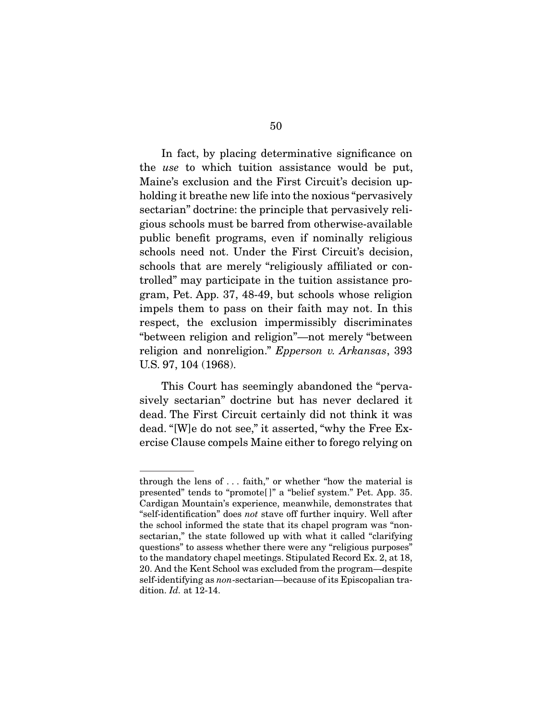In fact, by placing determinative significance on the use to which tuition assistance would be put, Maine's exclusion and the First Circuit's decision upholding it breathe new life into the noxious "pervasively sectarian" doctrine: the principle that pervasively religious schools must be barred from otherwise-available public benefit programs, even if nominally religious schools need not. Under the First Circuit's decision, schools that are merely "religiously affiliated or controlled" may participate in the tuition assistance program, Pet. App. 37, 48-49, but schools whose religion impels them to pass on their faith may not. In this respect, the exclusion impermissibly discriminates "between religion and religion"—not merely "between religion and nonreligion." Epperson v. Arkansas, 393 U.S. 97, 104 (1968).

 This Court has seemingly abandoned the "pervasively sectarian" doctrine but has never declared it dead. The First Circuit certainly did not think it was dead. "[W]e do not see," it asserted, "why the Free Exercise Clause compels Maine either to forego relying on

through the lens of . . . faith," or whether "how the material is presented" tends to "promote[ ]" a "belief system." Pet. App. 35. Cardigan Mountain's experience, meanwhile, demonstrates that "self-identification" does not stave off further inquiry. Well after the school informed the state that its chapel program was "nonsectarian," the state followed up with what it called "clarifying questions" to assess whether there were any "religious purposes" to the mandatory chapel meetings. Stipulated Record Ex. 2, at 18, 20. And the Kent School was excluded from the program—despite self-identifying as non-sectarian—because of its Episcopalian tradition. Id. at 12-14.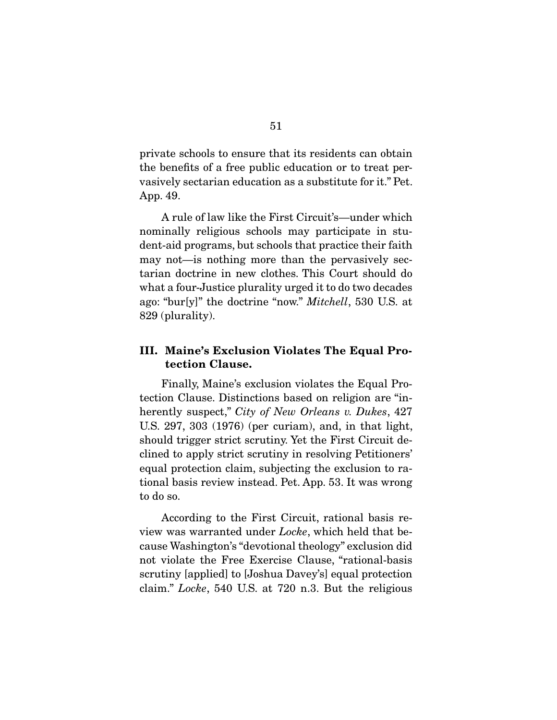private schools to ensure that its residents can obtain the benefits of a free public education or to treat pervasively sectarian education as a substitute for it." Pet. App. 49.

 A rule of law like the First Circuit's—under which nominally religious schools may participate in student-aid programs, but schools that practice their faith may not—is nothing more than the pervasively sectarian doctrine in new clothes. This Court should do what a four-Justice plurality urged it to do two decades ago: "bur[y]" the doctrine "now." Mitchell, 530 U.S. at 829 (plurality).

## **III. Maine's Exclusion Violates The Equal Protection Clause.**

 Finally, Maine's exclusion violates the Equal Protection Clause. Distinctions based on religion are "inherently suspect," City of New Orleans v. Dukes, 427 U.S. 297, 303 (1976) (per curiam), and, in that light, should trigger strict scrutiny. Yet the First Circuit declined to apply strict scrutiny in resolving Petitioners' equal protection claim, subjecting the exclusion to rational basis review instead. Pet. App. 53. It was wrong to do so.

 According to the First Circuit, rational basis review was warranted under *Locke*, which held that because Washington's "devotional theology" exclusion did not violate the Free Exercise Clause, "rational-basis scrutiny [applied] to [Joshua Davey's] equal protection claim." Locke, 540 U.S. at 720 n.3. But the religious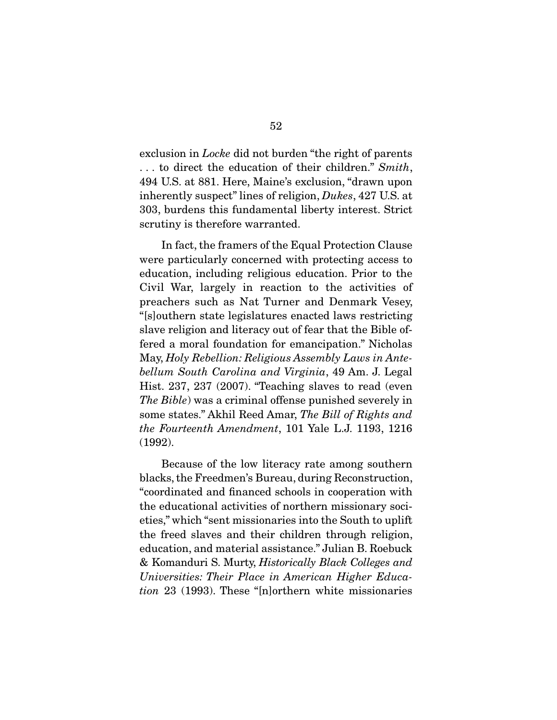exclusion in Locke did not burden "the right of parents ... to direct the education of their children." Smith, 494 U.S. at 881. Here, Maine's exclusion, "drawn upon inherently suspect" lines of religion, Dukes, 427 U.S. at 303, burdens this fundamental liberty interest. Strict scrutiny is therefore warranted.

 In fact, the framers of the Equal Protection Clause were particularly concerned with protecting access to education, including religious education. Prior to the Civil War, largely in reaction to the activities of preachers such as Nat Turner and Denmark Vesey, "[s]outhern state legislatures enacted laws restricting slave religion and literacy out of fear that the Bible offered a moral foundation for emancipation." Nicholas May, Holy Rebellion: Religious Assembly Laws in Antebellum South Carolina and Virginia, 49 Am. J. Legal Hist. 237, 237 (2007). "Teaching slaves to read (even The Bible) was a criminal offense punished severely in some states." Akhil Reed Amar, The Bill of Rights and the Fourteenth Amendment, 101 Yale L.J. 1193, 1216 (1992).

 Because of the low literacy rate among southern blacks, the Freedmen's Bureau, during Reconstruction, "coordinated and financed schools in cooperation with the educational activities of northern missionary societies," which "sent missionaries into the South to uplift the freed slaves and their children through religion, education, and material assistance." Julian B. Roebuck & Komanduri S. Murty, Historically Black Colleges and Universities: Their Place in American Higher Education 23 (1993). These "[n]orthern white missionaries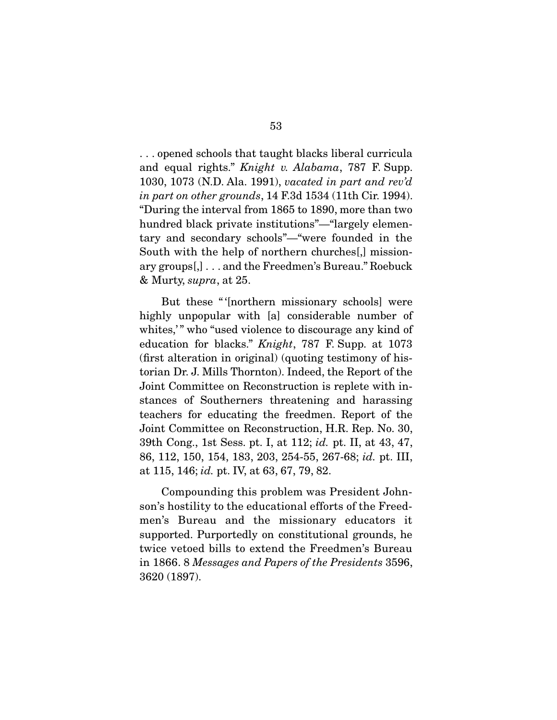. . . opened schools that taught blacks liberal curricula and equal rights." Knight v. Alabama, 787 F. Supp. 1030, 1073 (N.D. Ala. 1991), vacated in part and rev'd in part on other grounds, 14 F.3d 1534 (11th Cir. 1994). "During the interval from 1865 to 1890, more than two hundred black private institutions"—"largely elementary and secondary schools"—"were founded in the South with the help of northern churches[,] missionary groups[,] . . . and the Freedmen's Bureau." Roebuck & Murty, supra, at 25.

But these "'(northern missionary schools) were highly unpopular with [a] considerable number of whites," who "used violence to discourage any kind of education for blacks." Knight, 787 F. Supp. at 1073 (first alteration in original) (quoting testimony of historian Dr. J. Mills Thornton). Indeed, the Report of the Joint Committee on Reconstruction is replete with instances of Southerners threatening and harassing teachers for educating the freedmen. Report of the Joint Committee on Reconstruction, H.R. Rep. No. 30, 39th Cong., 1st Sess. pt. I, at 112; id. pt. II, at 43, 47, 86, 112, 150, 154, 183, 203, 254-55, 267-68; id. pt. III, at 115, 146; id. pt. IV, at 63, 67, 79, 82.

 Compounding this problem was President Johnson's hostility to the educational efforts of the Freedmen's Bureau and the missionary educators it supported. Purportedly on constitutional grounds, he twice vetoed bills to extend the Freedmen's Bureau in 1866. 8 Messages and Papers of the Presidents 3596, 3620 (1897).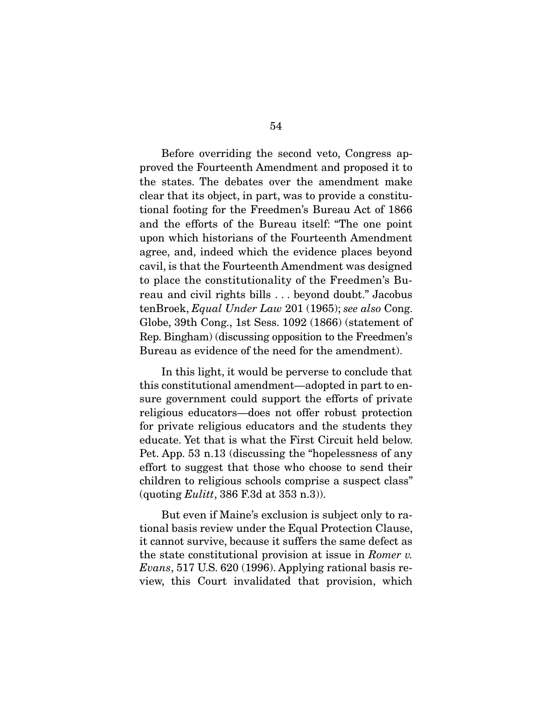Before overriding the second veto, Congress approved the Fourteenth Amendment and proposed it to the states. The debates over the amendment make clear that its object, in part, was to provide a constitutional footing for the Freedmen's Bureau Act of 1866 and the efforts of the Bureau itself: "The one point upon which historians of the Fourteenth Amendment agree, and, indeed which the evidence places beyond cavil, is that the Fourteenth Amendment was designed to place the constitutionality of the Freedmen's Bureau and civil rights bills . . . beyond doubt." Jacobus tenBroek, Equal Under Law 201 (1965); see also Cong. Globe, 39th Cong., 1st Sess. 1092 (1866) (statement of Rep. Bingham) (discussing opposition to the Freedmen's Bureau as evidence of the need for the amendment).

 In this light, it would be perverse to conclude that this constitutional amendment—adopted in part to ensure government could support the efforts of private religious educators—does not offer robust protection for private religious educators and the students they educate. Yet that is what the First Circuit held below. Pet. App. 53 n.13 (discussing the "hopelessness of any effort to suggest that those who choose to send their children to religious schools comprise a suspect class" (quoting  $Eulitt$ , 386 F.3d at 353 n.3)).

 But even if Maine's exclusion is subject only to rational basis review under the Equal Protection Clause, it cannot survive, because it suffers the same defect as the state constitutional provision at issue in Romer v. Evans, 517 U.S. 620 (1996). Applying rational basis review, this Court invalidated that provision, which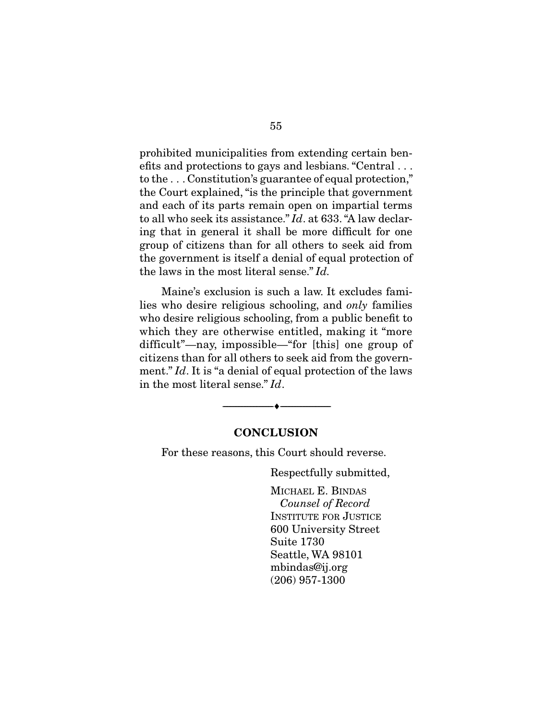prohibited municipalities from extending certain benefits and protections to gays and lesbians. "Central . . . to the . . . Constitution's guarantee of equal protection," the Court explained, "is the principle that government and each of its parts remain open on impartial terms to all who seek its assistance." Id. at 633. "A law declaring that in general it shall be more difficult for one group of citizens than for all others to seek aid from the government is itself a denial of equal protection of the laws in the most literal sense." Id.

 Maine's exclusion is such a law. It excludes families who desire religious schooling, and only families who desire religious schooling, from a public benefit to which they are otherwise entitled, making it "more" difficult"—nay, impossible—"for [this] one group of citizens than for all others to seek aid from the government." Id. It is "a denial of equal protection of the laws in the most literal sense." Id.

#### **CONCLUSION**

--------------------------------- ♦ ---------------------------------

For these reasons, this Court should reverse.

Respectfully submitted,

MICHAEL E. BINDAS Counsel of Record INSTITUTE FOR JUSTICE 600 University Street Suite 1730 Seattle, WA 98101 mbindas@ij.org (206) 957-1300